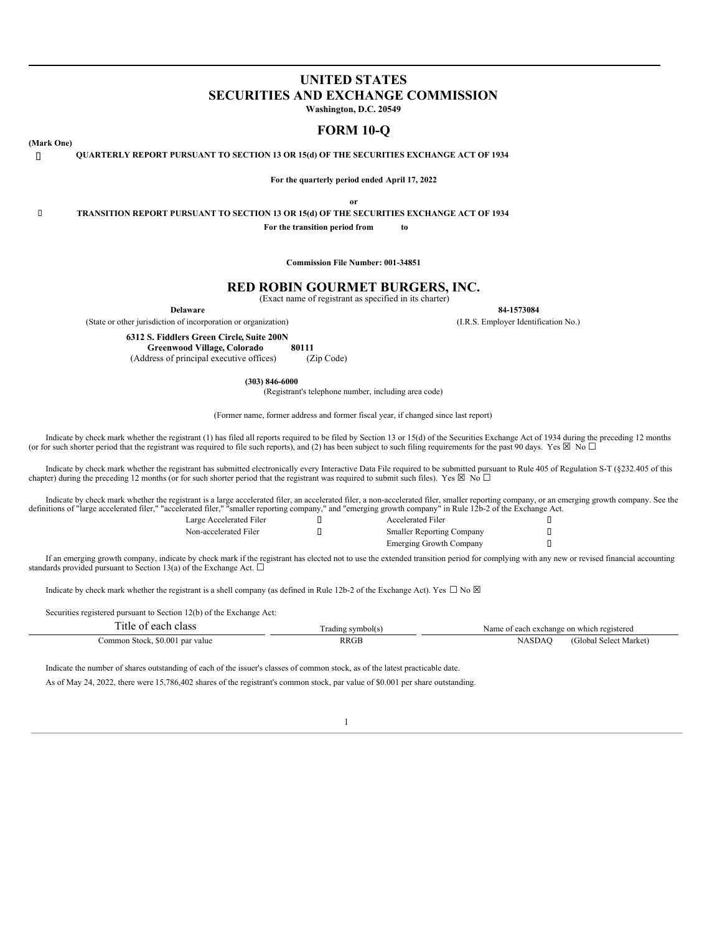# **UNITED STATES SECURITIES AND EXCHANGE COMMISSION**

**Washington, D.C. 20549**

# **FORM 10-Q**

## **(Mark One)**

**QUARTERLY REPORT PURSUANT TO SECTION 13 OR 15(d) OF THE SECURITIES EXCHANGE ACT OF 1934**

**For the quarterly period ended April 17, 2022**

**or**

**TRANSITION REPORT PURSUANT TO SECTION 13 OR 15(d) OF THE SECURITIES EXCHANGE ACT OF 1934**

**For the transition period from to**

**Commission File Number: 001-34851**

# **RED ROBIN GOURMET BURGERS, INC.**

(Exact name of registrant as specified in its charter)

**Delaware 84-1573084**

(State or other jurisdiction of incorporation or organization) (I.R.S. Employer Identification No.)

**6312 S. Fiddlers Green Circle, Suite 200N**

**Greenwood Village, Colorado 80111** (Address of principal executive offices)

**(303) 846-6000**

(Registrant's telephone number, including area code)

(Former name, former address and former fiscal year, if changed since last report)

Indicate by check mark whether the registrant (1) has filed all reports required to be filed by Section 13 or 15(d) of the Securities Exchange Act of 1934 during the preceding 12 months (or for such shorter period that the registrant was required to file such reports), and (2) has been subject to such filing requirements for the past 90 days. Yes  $\boxtimes$  No  $\Box$ 

Indicate by check mark whether the registrant has submitted electronically every Interactive Data File required to be submitted pursuant to Rule 405 of Regulation S-T (§232.405 of this chapter) during the preceding 12 months (or for such shorter period that the registrant was required to submit such files). Yes  $\boxtimes$  No  $\Box$ 

Indicate by check mark whether the registrant is a large accelerated filer, an accelerated filer, a non-accelerated filer, smaller reporting company, or an emerging growth company. See the definitions of "large accelerated

| Large Accelerated Filer |  |
|-------------------------|--|
| Non-accelerated Filer   |  |

| Large Accelerated Filer | <b>Accelerated Filer</b>         |  |
|-------------------------|----------------------------------|--|
| Non-accelerated Filer   | <b>Smaller Reporting Company</b> |  |
|                         | Emerging Growth Company          |  |

If an emerging growth company, indicate by check mark if the registrant has elected not to use the extended transition period for complying with any new or revised financial accounting standards provided pursuant to Section 13(a) of the Exchange Act.  $\square$ 

Indicate by check mark whether the registrant is a shell company (as defined in Rule 12b-2 of the Exchange Act). Yes  $\Box$  No  $\boxtimes$ 

Securities registered pursuant to Section 12(b) of the Exchange Act:

| m.<br>l'itle of each class      | l radıng symbol(s) | Name of each exchange on which registered |
|---------------------------------|--------------------|-------------------------------------------|
| Common Stock, \$0.001 par value | <b>RRGE</b>        | (Global Select Market)<br>NASDAC          |

Indicate the number of shares outstanding of each of the issuer's classes of common stock, as of the latest practicable date.

<span id="page-0-0"></span>As of May 24, 2022, there were 15,786,402 shares of the registrant's common stock, par value of \$0.001 per share outstanding.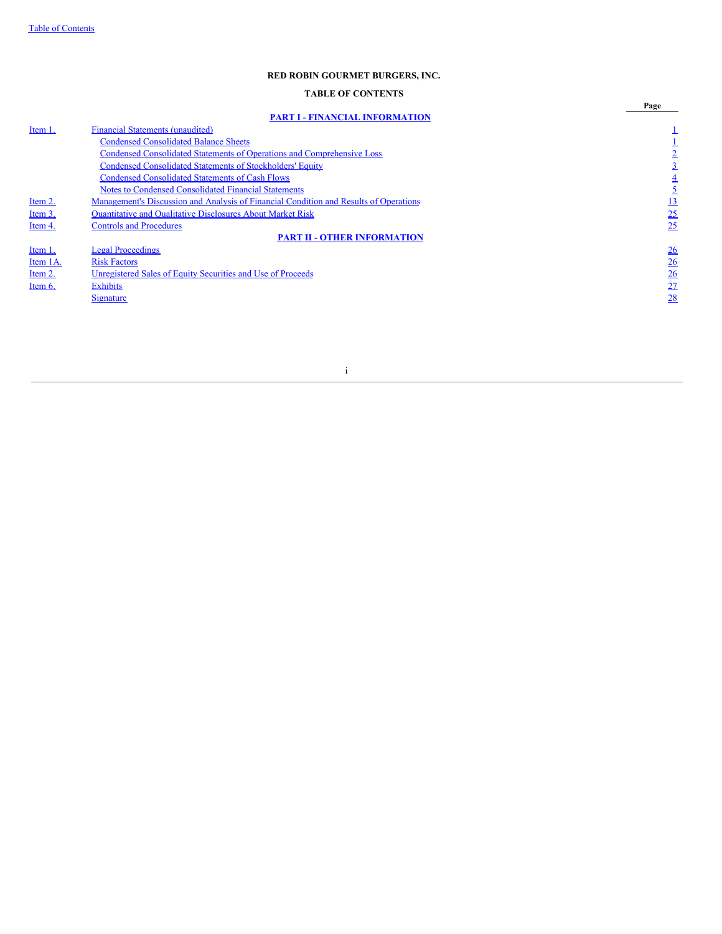# **TABLE OF CONTENTS**

<span id="page-1-0"></span>

|          |                                                                                       | Page           |
|----------|---------------------------------------------------------------------------------------|----------------|
|          | <b>PART I - FINANCIAL INFORMATION</b>                                                 |                |
| Item 1.  | <b>Financial Statements (unaudited)</b>                                               |                |
|          | <b>Condensed Consolidated Balance Sheets</b>                                          |                |
|          | Condensed Consolidated Statements of Operations and Comprehensive Loss                |                |
|          | <b>Condensed Consolidated Statements of Stockholders' Equity</b>                      |                |
|          | <b>Condensed Consolidated Statements of Cash Flows</b>                                |                |
|          | <b>Notes to Condensed Consolidated Financial Statements</b>                           |                |
| Item 2.  | Management's Discussion and Analysis of Financial Condition and Results of Operations | <u> 13</u>     |
| Item 3.  | Quantitative and Qualitative Disclosures About Market Risk                            | 25             |
| Item 4.  | <b>Controls and Procedures</b>                                                        | 25             |
|          | <b>PART II - OTHER INFORMATION</b>                                                    |                |
| Item 1.  | <b>Legal Proceedings</b>                                                              | $\frac{26}{5}$ |
| Item 1A. | <b>Risk Factors</b>                                                                   | $\frac{26}{5}$ |
| Item 2.  | Unregistered Sales of Equity Securities and Use of Proceeds                           | $\frac{26}{5}$ |
| Item 6.  | <b>Exhibits</b>                                                                       | 27             |
|          | <b>Signature</b>                                                                      | 28             |
|          |                                                                                       |                |
|          |                                                                                       |                |

i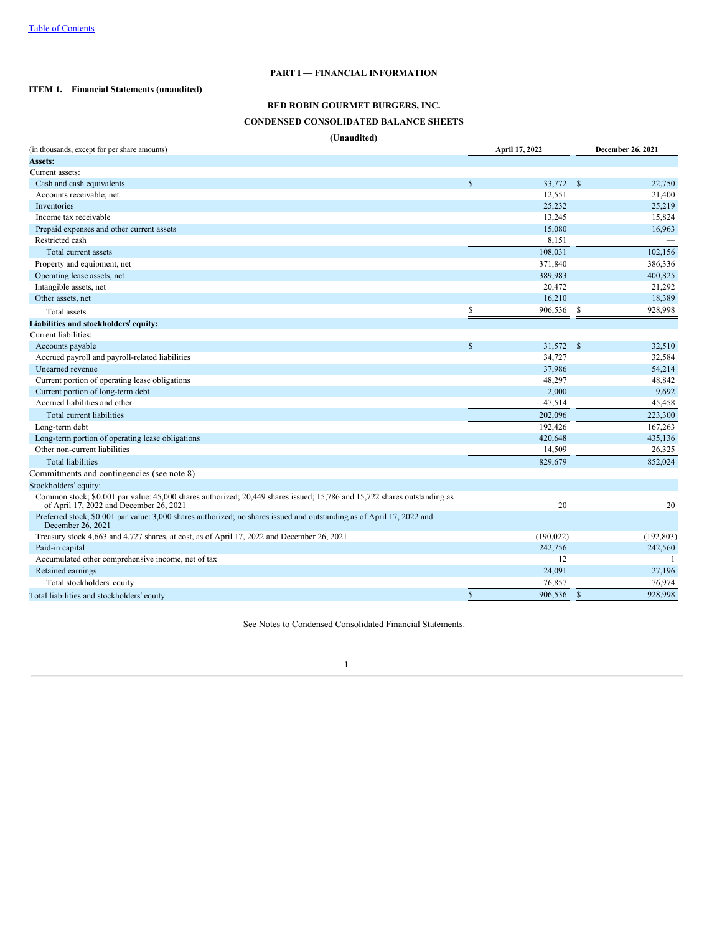# **PART I — FINANCIAL INFORMATION**

# <span id="page-2-1"></span><span id="page-2-0"></span>**ITEM 1. Financial Statements (unaudited)**

# **RED ROBIN GOURMET BURGERS, INC. CONDENSED CONSOLIDATED BALANCE SHEETS**

**(Unaudited)**

| (in thousands, except for per share amounts)                                                                                                                        |              | April 17, 2022 |               | December 26, 2021 |
|---------------------------------------------------------------------------------------------------------------------------------------------------------------------|--------------|----------------|---------------|-------------------|
| Assets:                                                                                                                                                             |              |                |               |                   |
| Current assets:                                                                                                                                                     |              |                |               |                   |
| Cash and cash equivalents                                                                                                                                           | $\mathbb{S}$ | 33,772 \$      |               | 22,750            |
| Accounts receivable, net                                                                                                                                            |              | 12,551         |               | 21,400            |
| Inventories                                                                                                                                                         |              | 25,232         |               | 25,219            |
| Income tax receivable                                                                                                                                               |              | 13,245         |               | 15,824            |
| Prepaid expenses and other current assets                                                                                                                           |              | 15,080         |               | 16,963            |
| Restricted cash                                                                                                                                                     |              | 8,151          |               |                   |
| Total current assets                                                                                                                                                |              | 108,031        |               | 102,156           |
| Property and equipment, net                                                                                                                                         |              | 371,840        |               | 386,336           |
| Operating lease assets, net                                                                                                                                         |              | 389,983        |               | 400,825           |
| Intangible assets, net                                                                                                                                              |              | 20,472         |               | 21,292            |
| Other assets, net                                                                                                                                                   |              | 16,210         |               | 18,389            |
| Total assets                                                                                                                                                        | \$           | 906,536        | - \$          | 928,998           |
| Liabilities and stockholders' equity:                                                                                                                               |              |                |               |                   |
| Current liabilities:                                                                                                                                                |              |                |               |                   |
| Accounts payable                                                                                                                                                    | $\mathbb{S}$ | 31,572         | $^{\circ}$    | 32,510            |
| Accrued payroll and payroll-related liabilities                                                                                                                     |              | 34,727         |               | 32,584            |
| Unearned revenue                                                                                                                                                    |              | 37,986         |               | 54,214            |
| Current portion of operating lease obligations                                                                                                                      |              | 48,297         |               | 48,842            |
| Current portion of long-term debt                                                                                                                                   |              | 2,000          |               | 9,692             |
| Accrued liabilities and other                                                                                                                                       |              | 47,514         |               | 45,458            |
| Total current liabilities                                                                                                                                           |              | 202,096        |               | 223,300           |
| Long-term debt                                                                                                                                                      |              | 192,426        |               | 167,263           |
| Long-term portion of operating lease obligations                                                                                                                    |              | 420,648        |               | 435,136           |
| Other non-current liabilities                                                                                                                                       |              | 14,509         |               | 26,325            |
| <b>Total liabilities</b>                                                                                                                                            |              | 829,679        |               | 852,024           |
| Commitments and contingencies (see note 8)                                                                                                                          |              |                |               |                   |
| Stockholders' equity:                                                                                                                                               |              |                |               |                   |
| Common stock; \$0.001 par value: 45,000 shares authorized; 20,449 shares issued; 15,786 and 15,722 shares outstanding as<br>of April 17, 2022 and December 26, 2021 |              | 20             |               | 20                |
| Preferred stock, \$0.001 par value: 3,000 shares authorized; no shares issued and outstanding as of April 17, 2022 and<br>December 26, 2021                         |              |                |               |                   |
| Treasury stock 4,663 and 4,727 shares, at cost, as of April 17, 2022 and December 26, 2021                                                                          |              | (190, 022)     |               | (192, 803)        |
| Paid-in capital                                                                                                                                                     |              | 242,756        |               | 242,560           |
| Accumulated other comprehensive income, net of tax                                                                                                                  |              | 12             |               | -1                |
| Retained earnings                                                                                                                                                   |              | 24,091         |               | 27,196            |
| Total stockholders' equity                                                                                                                                          |              | 76,857         |               | 76,974            |
| Total liabilities and stockholders' equity                                                                                                                          | $\mathbf S$  | 906,536        | <sup>\$</sup> | 928.998           |

<span id="page-2-2"></span>See Notes to Condensed Consolidated Financial Statements.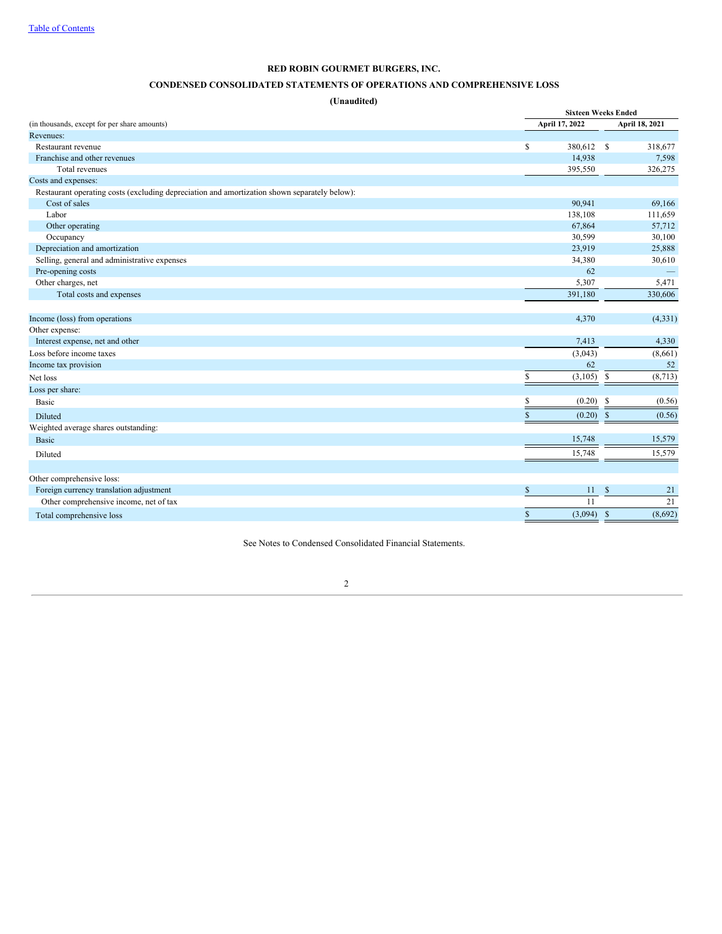# **CONDENSED CONSOLIDATED STATEMENTS OF OPERATIONS AND COMPREHENSIVE LOSS**

**(Unaudited)**

|                                                                                              |              | <b>Sixteen Weeks Ended</b> |                         |  |  |  |  |  |  |
|----------------------------------------------------------------------------------------------|--------------|----------------------------|-------------------------|--|--|--|--|--|--|
| (in thousands, except for per share amounts)                                                 |              | April 17, 2022             | April 18, 2021          |  |  |  |  |  |  |
| Revenues:                                                                                    |              |                            |                         |  |  |  |  |  |  |
| Restaurant revenue                                                                           | \$           | 380,612 \$                 | 318,677                 |  |  |  |  |  |  |
| Franchise and other revenues                                                                 |              | 14,938                     | 7,598                   |  |  |  |  |  |  |
| Total revenues                                                                               |              | 395,550                    | 326,275                 |  |  |  |  |  |  |
| Costs and expenses:                                                                          |              |                            |                         |  |  |  |  |  |  |
| Restaurant operating costs (excluding depreciation and amortization shown separately below): |              |                            |                         |  |  |  |  |  |  |
| Cost of sales                                                                                |              | 90,941                     | 69,166                  |  |  |  |  |  |  |
| Labor                                                                                        |              | 138,108                    | 111,659                 |  |  |  |  |  |  |
| Other operating                                                                              |              | 67,864                     | 57,712                  |  |  |  |  |  |  |
| Occupancy                                                                                    |              | 30,599                     | 30,100                  |  |  |  |  |  |  |
| Depreciation and amortization                                                                |              | 23,919                     | 25,888                  |  |  |  |  |  |  |
| Selling, general and administrative expenses                                                 |              | 34,380                     | 30,610                  |  |  |  |  |  |  |
| Pre-opening costs                                                                            |              | 62                         |                         |  |  |  |  |  |  |
| Other charges, net                                                                           |              | 5,307                      | 5,471                   |  |  |  |  |  |  |
| Total costs and expenses                                                                     |              | 391,180                    | 330,606                 |  |  |  |  |  |  |
|                                                                                              |              |                            |                         |  |  |  |  |  |  |
| Income (loss) from operations                                                                |              | 4,370                      | (4, 331)                |  |  |  |  |  |  |
| Other expense:                                                                               |              |                            |                         |  |  |  |  |  |  |
| Interest expense, net and other                                                              |              | 7,413                      | 4,330                   |  |  |  |  |  |  |
| Loss before income taxes                                                                     |              | (3,043)                    | (8,661)                 |  |  |  |  |  |  |
| Income tax provision                                                                         |              | 62                         | 52                      |  |  |  |  |  |  |
| Net loss                                                                                     | \$.          | (3,105)                    | $\mathbb{S}$<br>(8,713) |  |  |  |  |  |  |
| Loss per share:                                                                              |              |                            |                         |  |  |  |  |  |  |
| Basic                                                                                        |              | (0.20)                     | -S<br>(0.56)            |  |  |  |  |  |  |
| Diluted                                                                                      |              | (0.20)                     | (0.56)<br><sup>\$</sup> |  |  |  |  |  |  |
| Weighted average shares outstanding:                                                         |              |                            |                         |  |  |  |  |  |  |
| <b>Basic</b>                                                                                 |              | 15,748                     | 15,579                  |  |  |  |  |  |  |
| Diluted                                                                                      |              | 15,748                     | 15,579                  |  |  |  |  |  |  |
|                                                                                              |              |                            |                         |  |  |  |  |  |  |
| Other comprehensive loss:                                                                    |              |                            |                         |  |  |  |  |  |  |
| Foreign currency translation adjustment                                                      | $\mathbb{S}$ | 11                         | $\mathbb{S}$<br>21      |  |  |  |  |  |  |
| Other comprehensive income, net of tax                                                       |              | 11                         | 21                      |  |  |  |  |  |  |
| Total comprehensive loss                                                                     | \$           | $(3,094)$ \$               | (8,692)                 |  |  |  |  |  |  |

<span id="page-3-0"></span>See Notes to Condensed Consolidated Financial Statements.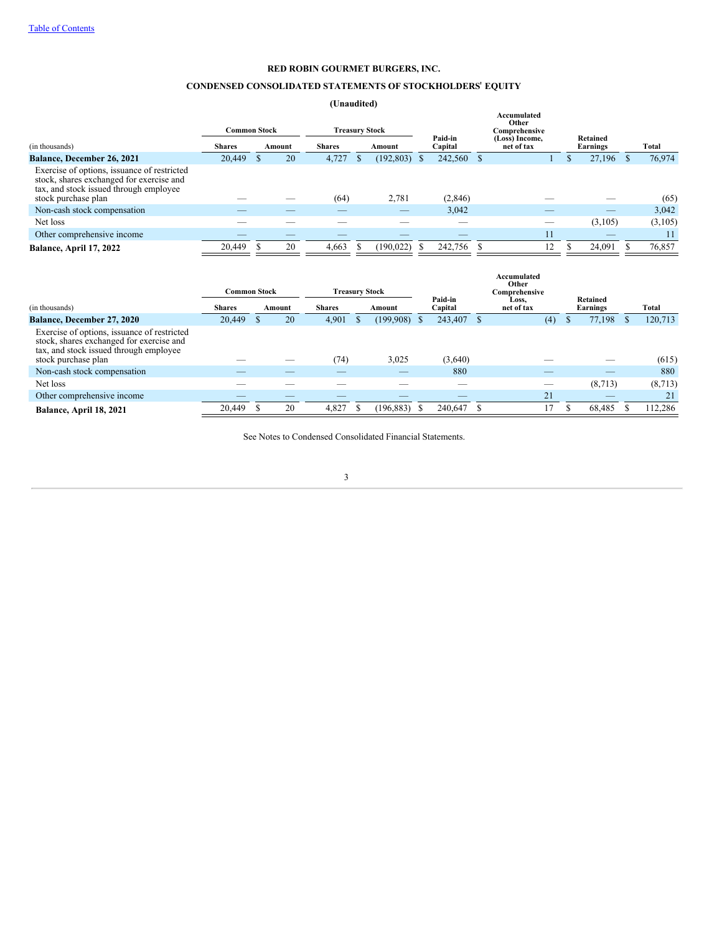# **CONDENSED CONSOLIDATED STATEMENTS OF STOCKHOLDERS**' **EQUITY**

**(Unaudited)**

|                                                                                                                                                          | <b>Common Stock</b> |  | <b>Treasury Stock</b> |                         |  |            |                    |            | Accumulated<br>Other<br>Comprehensive |    |                      |         |                      |         |
|----------------------------------------------------------------------------------------------------------------------------------------------------------|---------------------|--|-----------------------|-------------------------|--|------------|--------------------|------------|---------------------------------------|----|----------------------|---------|----------------------|---------|
| (in thousands)                                                                                                                                           | <b>Shares</b>       |  | Amount                | <b>Shares</b><br>Amount |  |            | Paid-in<br>Capital |            | (Loss) Income,<br>net of tax          |    | Retained<br>Earnings |         |                      | Total   |
| <b>Balance, December 26, 2021</b>                                                                                                                        | 20,449              |  | 20                    | 4,727                   |  | (192, 803) | <sup>8</sup>       | 242,560 \$ |                                       |    |                      | 27,196  | $\sim$ $\mathcal{S}$ | 76,974  |
| Exercise of options, issuance of restricted<br>stock, shares exchanged for exercise and<br>tax, and stock issued through employee<br>stock purchase plan |                     |  |                       | (64)                    |  | 2,781      |                    | (2, 846)   |                                       |    |                      |         |                      | (65)    |
| Non-cash stock compensation                                                                                                                              |                     |  |                       |                         |  |            |                    | 3,042      |                                       |    |                      |         |                      | 3,042   |
| Net loss                                                                                                                                                 |                     |  |                       |                         |  |            |                    |            |                                       |    |                      | (3,105) |                      | (3,105) |
| Other comprehensive income                                                                                                                               |                     |  |                       |                         |  |            |                    | _          |                                       | 11 |                      | _       |                      | 11      |
| Balance, April 17, 2022                                                                                                                                  | 20,449              |  | 20                    | 4,663                   |  | (190, 022) |                    | 242,756    |                                       | 12 |                      | 24,091  |                      | 76,857  |

<span id="page-4-0"></span>

|                                                                                                                                                          | Common Stock<br><b>Treasury Stock</b> |  |        |               |  | Accumulated<br>Other<br>Comprehensive |      |                          |  |                     |  |                      |         |
|----------------------------------------------------------------------------------------------------------------------------------------------------------|---------------------------------------|--|--------|---------------|--|---------------------------------------|------|--------------------------|--|---------------------|--|----------------------|---------|
| (in thousands)                                                                                                                                           | <b>Shares</b>                         |  | Amount | <b>Shares</b> |  | Amount                                |      | Paid-in<br>Capital       |  | Loss,<br>net of tax |  | Retained<br>Earnings | Total   |
| Balance, December 27, 2020                                                                                                                               | 20,449                                |  | 20     | 4,901         |  | (199,908)                             |      | 243,407 \$               |  | (4)                 |  | 77,198               | 120,713 |
| Exercise of options, issuance of restricted<br>stock, shares exchanged for exercise and<br>tax, and stock issued through employee<br>stock purchase plan |                                       |  |        | (74)          |  | 3,025                                 |      | (3,640)                  |  |                     |  |                      | (615)   |
| Non-cash stock compensation                                                                                                                              |                                       |  |        |               |  | _                                     |      | 880                      |  |                     |  |                      | 880     |
| Net loss                                                                                                                                                 |                                       |  |        |               |  |                                       |      | $\overline{\phantom{a}}$ |  | _                   |  | (8,713)              | (8,713) |
| Other comprehensive income                                                                                                                               |                                       |  |        |               |  |                                       |      |                          |  | 21                  |  |                      | 21      |
| Balance, April 18, 2021                                                                                                                                  | 20,449                                |  | 20     | 4,827         |  | (196, 883)                            | - 85 | 240,647                  |  | 17                  |  | 68.485               | 112,286 |
|                                                                                                                                                          |                                       |  |        |               |  |                                       |      |                          |  |                     |  |                      |         |

See Notes to Condensed Consolidated Financial Statements.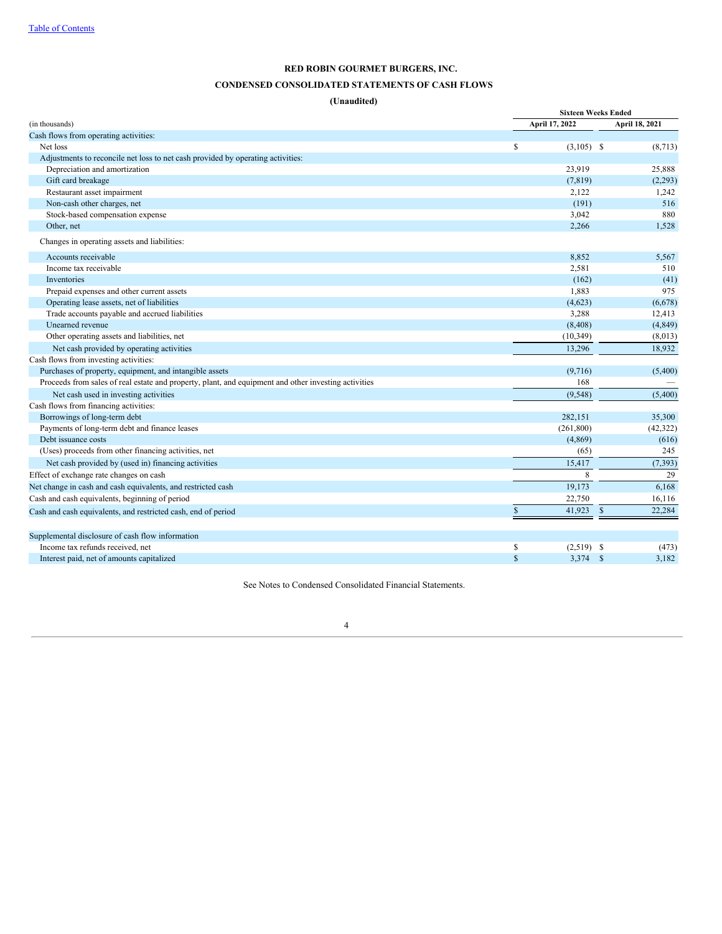# **CONDENSED CONSOLIDATED STATEMENTS OF CASH FLOWS**

# **(Unaudited)**

|                                                                                                      |                       | <b>Sixteen Weeks Ended</b> |                |  |  |  |  |  |
|------------------------------------------------------------------------------------------------------|-----------------------|----------------------------|----------------|--|--|--|--|--|
| (in thousands)                                                                                       | April 17, 2022        |                            | April 18, 2021 |  |  |  |  |  |
| Cash flows from operating activities:                                                                |                       |                            |                |  |  |  |  |  |
| Net loss                                                                                             | \$<br>$(3,105)$ \$    |                            | (8,713)        |  |  |  |  |  |
| Adjustments to reconcile net loss to net cash provided by operating activities:                      |                       |                            |                |  |  |  |  |  |
| Depreciation and amortization                                                                        | 23,919                |                            | 25,888         |  |  |  |  |  |
| Gift card breakage                                                                                   | (7, 819)              |                            | (2,293)        |  |  |  |  |  |
| Restaurant asset impairment                                                                          | 2,122                 |                            | 1,242          |  |  |  |  |  |
| Non-cash other charges, net                                                                          | (191)                 |                            | 516            |  |  |  |  |  |
| Stock-based compensation expense                                                                     | 3,042                 |                            | 880            |  |  |  |  |  |
| Other, net                                                                                           | 2,266                 |                            | 1,528          |  |  |  |  |  |
| Changes in operating assets and liabilities:                                                         |                       |                            |                |  |  |  |  |  |
| Accounts receivable                                                                                  | 8,852                 |                            | 5,567          |  |  |  |  |  |
| Income tax receivable                                                                                | 2,581                 |                            | 510            |  |  |  |  |  |
| Inventories                                                                                          | (162)                 |                            | (41)           |  |  |  |  |  |
| Prepaid expenses and other current assets                                                            | 1,883                 |                            | 975            |  |  |  |  |  |
| Operating lease assets, net of liabilities                                                           | (4,623)               |                            | (6,678)        |  |  |  |  |  |
| Trade accounts payable and accrued liabilities                                                       | 3,288                 |                            | 12,413         |  |  |  |  |  |
| Unearned revenue                                                                                     | (8, 408)              |                            | (4, 849)       |  |  |  |  |  |
| Other operating assets and liabilities, net                                                          | (10, 349)             |                            | (8,013)        |  |  |  |  |  |
| Net cash provided by operating activities                                                            | 13,296                |                            | 18,932         |  |  |  |  |  |
| Cash flows from investing activities:                                                                |                       |                            |                |  |  |  |  |  |
| Purchases of property, equipment, and intangible assets                                              | (9,716)               |                            | (5,400)        |  |  |  |  |  |
| Proceeds from sales of real estate and property, plant, and equipment and other investing activities | 168                   |                            |                |  |  |  |  |  |
| Net cash used in investing activities                                                                | (9, 548)              |                            | (5,400)        |  |  |  |  |  |
| Cash flows from financing activities:                                                                |                       |                            |                |  |  |  |  |  |
| Borrowings of long-term debt                                                                         | 282.151               |                            | 35,300         |  |  |  |  |  |
| Payments of long-term debt and finance leases                                                        | (261, 800)            |                            | (42, 322)      |  |  |  |  |  |
| Debt issuance costs                                                                                  | (4,869)               |                            | (616)          |  |  |  |  |  |
| (Uses) proceeds from other financing activities, net                                                 | (65)                  |                            | 245            |  |  |  |  |  |
| Net cash provided by (used in) financing activities                                                  | 15,417                |                            | (7, 393)       |  |  |  |  |  |
| Effect of exchange rate changes on cash                                                              |                       | 8                          | 29             |  |  |  |  |  |
| Net change in cash and cash equivalents, and restricted cash                                         | 19,173                |                            | 6,168          |  |  |  |  |  |
| Cash and cash equivalents, beginning of period                                                       | 22,750                |                            | 16,116         |  |  |  |  |  |
| Cash and cash equivalents, and restricted cash, end of period                                        | $\mathbb S$<br>41,923 | -\$                        | 22,284         |  |  |  |  |  |
|                                                                                                      |                       |                            |                |  |  |  |  |  |
| Supplemental disclosure of cash flow information                                                     |                       |                            |                |  |  |  |  |  |
| Income tax refunds received, net                                                                     | s<br>$(2,519)$ \$     |                            | (473)          |  |  |  |  |  |
| Interest paid, net of amounts capitalized                                                            | $\mathbf S$<br>3,374  | - \$                       | 3,182          |  |  |  |  |  |

<span id="page-5-0"></span>See Notes to Condensed Consolidated Financial Statements.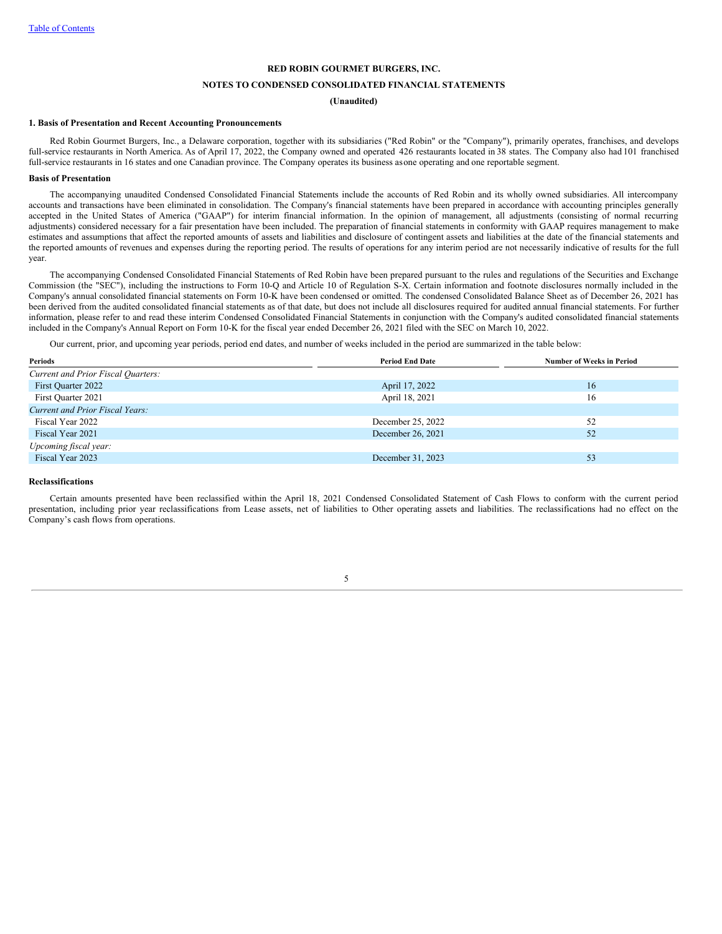# **NOTES TO CONDENSED CONSOLIDATED FINANCIAL STATEMENTS**

## **(Unaudited)**

## **1. Basis of Presentation and Recent Accounting Pronouncements**

Red Robin Gourmet Burgers, Inc., a Delaware corporation, together with its subsidiaries ("Red Robin" or the "Company"), primarily operates, franchises, and develops full-service restaurants in North America. As of April 17, 2022, the Company owned and operated 426 restaurants located in 38 states. The Company also had 101 franchised full-service restaurants in 16 states and one Canadian province. The Company operates its business asone operating and one reportable segment.

## **Basis of Presentation**

The accompanying unaudited Condensed Consolidated Financial Statements include the accounts of Red Robin and its wholly owned subsidiaries. All intercompany accounts and transactions have been eliminated in consolidation. The Company's financial statements have been prepared in accordance with accounting principles generally accepted in the United States of America ("GAAP") for interim financial information. In the opinion of management, all adjustments (consisting of normal recurring adjustments) considered necessary for a fair presentation have been included. The preparation of financial statements in conformity with GAAP requires management to make estimates and assumptions that affect the reported amounts of assets and liabilities and disclosure of contingent assets and liabilities at the date of the financial statements and the reported amounts of revenues and expenses during the reporting period. The results of operations for any interim period are not necessarily indicative of results for the full year.

The accompanying Condensed Consolidated Financial Statements of Red Robin have been prepared pursuant to the rules and regulations of the Securities and Exchange Commission (the "SEC"), including the instructions to Form 10-Q and Article 10 of Regulation S-X. Certain information and footnote disclosures normally included in the Company's annual consolidated financial statements on Form 10-K have been condensed or omitted. The condensed Consolidated Balance Sheet as of December 26, 2021 has been derived from the audited consolidated financial statements as of that date, but does not include all disclosures required for audited annual financial statements. For further information, please refer to and read these interim Condensed Consolidated Financial Statements in conjunction with the Company's audited consolidated financial statements included in the Company's Annual Report on Form 10-K for the fiscal year ended December 26, 2021 filed with the SEC on March 10, 2022.

Our current, prior, and upcoming year periods, period end dates, and number of weeks included in the period are summarized in the table below:

| Periods                            | <b>Period End Date</b> | <b>Number of Weeks in Period</b> |
|------------------------------------|------------------------|----------------------------------|
| Current and Prior Fiscal Quarters: |                        |                                  |
| First Quarter 2022                 | April 17, 2022         | 16                               |
| First Quarter 2021                 | April 18, 2021         | 16                               |
| Current and Prior Fiscal Years:    |                        |                                  |
| Fiscal Year 2022                   | December 25, 2022      | 52                               |
| Fiscal Year 2021                   | December 26, 2021      | 52                               |
| Upcoming fiscal year:              |                        |                                  |
| Fiscal Year 2023                   | December 31, 2023      | 53                               |
|                                    |                        |                                  |

#### **Reclassifications**

Certain amounts presented have been reclassified within the April 18, 2021 Condensed Consolidated Statement of Cash Flows to conform with the current period presentation, including prior year reclassifications from Lease assets, net of liabilities to Other operating assets and liabilities. The reclassifications had no effect on the Company's cash flows from operations.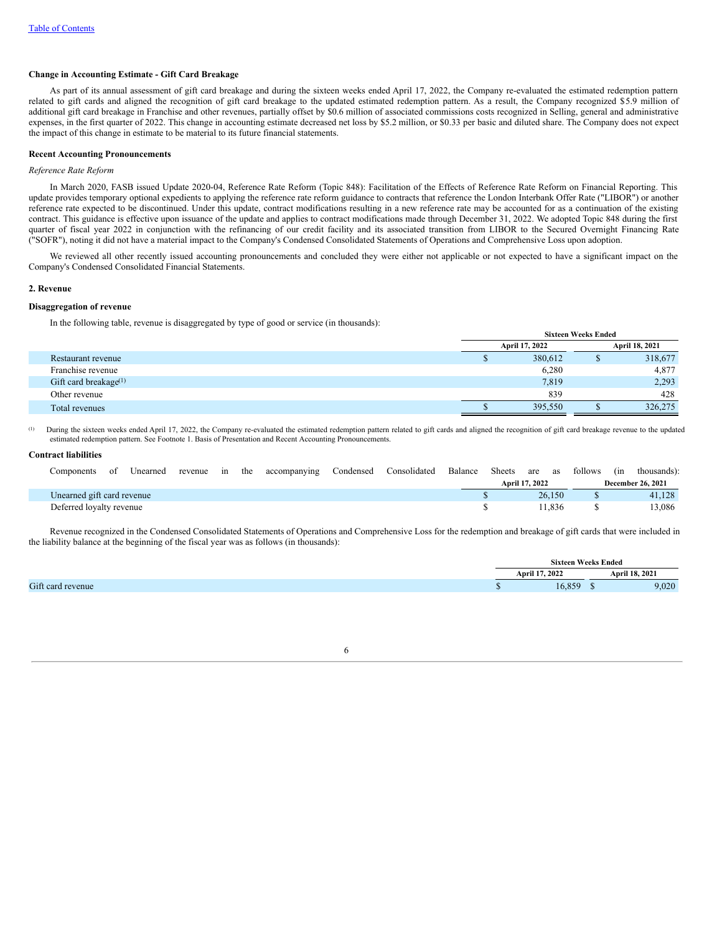## **Change in Accounting Estimate - Gift Card Breakage**

As part of its annual assessment of gift card breakage and during the sixteen weeks ended April 17, 2022, the Company re-evaluated the estimated redemption pattern related to gift cards and aligned the recognition of gift card breakage to the updated estimated redemption pattern. As a result, the Company recognized \$5.9 million of additional gift card breakage in Franchise and other revenues, partially offset by \$0.6 million of associated commissions costs recognized in Selling, general and administrative expenses, in the first quarter of 2022. This change in accounting estimate decreased net loss by \$5.2 million, or \$0.33 per basic and diluted share. The Company does not expect the impact of this change in estimate to be material to its future financial statements.

### **Recent Accounting Pronouncements**

## *Reference Rate Reform*

In March 2020, FASB issued Update 2020-04, Reference Rate Reform (Topic 848): Facilitation of the Effects of Reference Rate Reform on Financial Reporting. This update provides temporary optional expedients to applying the reference rate reform guidance to contracts that reference the London Interbank Offer Rate ("LIBOR") or another reference rate expected to be discontinued. Under this update, contract modifications resulting in a new reference rate may be accounted for as a continuation of the existing contract. This guidance is effective upon issuance of the update and applies to contract modifications made through December 31, 2022. We adopted Topic 848 during the first quarter of fiscal year 2022 in conjunction with the refinancing of our credit facility and its associated transition from LIBOR to the Secured Overnight Financing Rate ("SOFR"), noting it did not have a material impact to the Company's Condensed Consolidated Statements of Operations and Comprehensive Loss upon adoption.

We reviewed all other recently issued accounting pronouncements and concluded they were either not applicable or not expected to have a significant impact on the Company's Condensed Consolidated Financial Statements.

### **2. Revenue**

## **Disaggregation of revenue**

In the following table, revenue is disaggregated by type of good or service (in thousands):

| <u>.</u><br>ິ            | <b>Sixteen Weeks Ended</b> |                |  |                |  |  |
|--------------------------|----------------------------|----------------|--|----------------|--|--|
|                          |                            | April 17, 2022 |  | April 18, 2021 |  |  |
| Restaurant revenue       |                            | 380,612        |  | 318,677        |  |  |
| Franchise revenue        |                            | 6,280          |  | 4,877          |  |  |
| Gift card breakage $(1)$ |                            | 7,819          |  | 2,293          |  |  |
| Other revenue            |                            | 839            |  | 428            |  |  |
| Total revenues           |                            | 395,550        |  | 326,275        |  |  |

During the sixteen weeks ended April 17, 2022, the Company re-evaluated the estimated redemption pattern related to gift cards and aligned the recognition of gift card breakage revenue to the updated estimated redemption pattern. See Footnote 1. Basis of Presentation and Recent Accounting Pronouncements. (1)

# **Contract liabilities**

| Components                 | οt | Unearned | revenue | 1n | the | accompanying | Condensed Consolidated | Balance | Sheets | are as         |        | follows | (in thousands):          |
|----------------------------|----|----------|---------|----|-----|--------------|------------------------|---------|--------|----------------|--------|---------|--------------------------|
|                            |    |          |         |    |     |              |                        |         |        | April 17, 2022 |        |         | <b>December 26, 2021</b> |
| Unearned gift card revenue |    |          |         |    |     |              |                        |         |        |                | 26.150 |         | 41.128                   |
| Deferred loyalty revenue   |    |          |         |    |     |              |                        |         |        |                | 11.836 |         | 13.086                   |

Revenue recognized in the Condensed Consolidated Statements of Operations and Comprehensive Loss for the redemption and breakage of gift cards that were included in the liability balance at the beginning of the fiscal year was as follows (in thousands):

|                   | <b>Sixteen Weeks Ended</b> |  |                |  |
|-------------------|----------------------------|--|----------------|--|
|                   | Anril 17.<br>.2022         |  | April 18, 2021 |  |
| Gift card revenue | 16.859                     |  | 9,020          |  |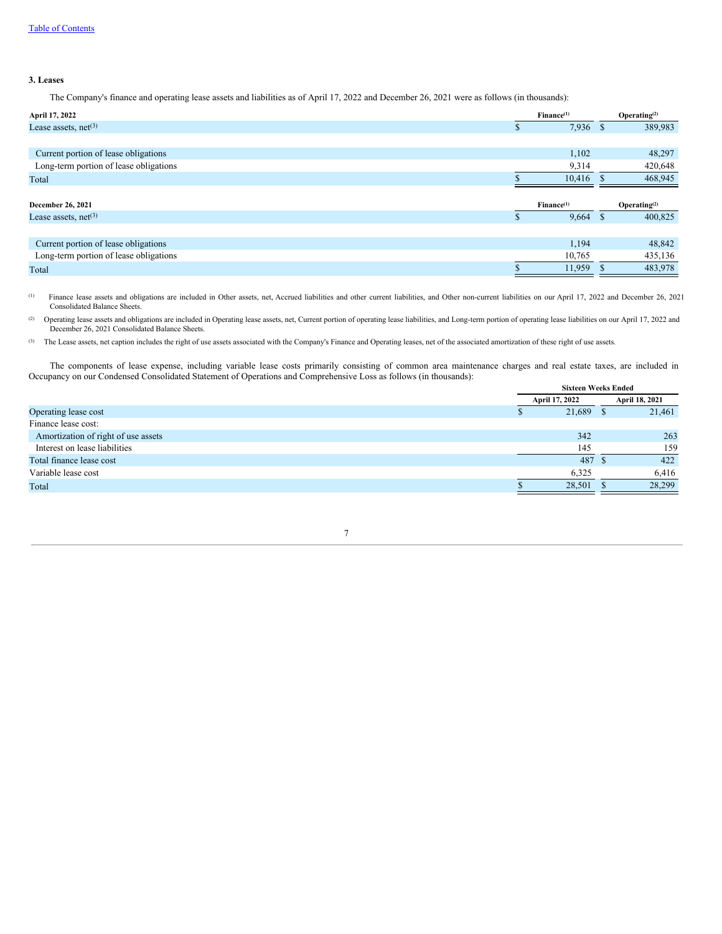# **3. Leases**

The Company's finance and operating lease assets and liabilities as of April 17, 2022 and December 26, 2021 were as follows (in thousands):

| April 17, 2022                         | Finance <sup>(1)</sup> |      | Operating $(2)$ |
|----------------------------------------|------------------------|------|-----------------|
| Lease assets, $net(3)$                 | $7,936$ \$             |      | 389,983         |
|                                        |                        |      |                 |
| Current portion of lease obligations   | 1,102                  |      | 48,297          |
| Long-term portion of lease obligations | 9,314                  |      | 420,648         |
| Total                                  | $10,416$ \$            |      | 468,945         |
|                                        |                        |      |                 |
|                                        |                        |      |                 |
| December 26, 2021                      | Finance <sup>(1)</sup> |      | Operating $(2)$ |
| Lease assets, $net^{(3)}$              | 9,664                  | - \$ | 400,825         |
|                                        |                        |      |                 |
| Current portion of lease obligations   | 1,194                  |      | 48,842          |
| Long-term portion of lease obligations | 10,765                 |      | 435,136         |
| Total                                  | 11,959                 |      | 483,978         |

Finance lease assets and obligations are included in Other assets, net, Accrued liabilities and other current liabilities, and Other non-current liabilities on our April 17, 2022 and December 26, 2021 Consolidated Balance Sheets. (1)

Operating lease assets and obligations are included in Operating lease assets, net, Current portion of operating lease liabilities, and Long-term portion of operating lease liabilities on our April 17, 2022 and December 26, 2021 Consolidated Balance Sheets. (2)

The Lease assets, net caption includes the right of use assets associated with the Company's Finance and Operating leases, net of the associated amortization of these right of use assets. (3)

The components of lease expense, including variable lease costs primarily consisting of common area maintenance charges and real estate taxes, are included in Occupancy on our Condensed Consolidated Statement of Operations and Comprehensive Loss as follows (in thousands): **Sixteen Weeks Ended**

|                                     | Sixteen Weeks Ended |  |                |
|-------------------------------------|---------------------|--|----------------|
|                                     | April 17, 2022      |  | April 18, 2021 |
| Operating lease cost                | 21,689              |  | 21,461         |
| Finance lease cost:                 |                     |  |                |
| Amortization of right of use assets | 342                 |  | 263            |
| Interest on lease liabilities       | 145                 |  | 159            |
| Total finance lease cost            | 487 \$              |  | 422            |
| Variable lease cost                 | 6,325               |  | 6,416          |
| Total                               | 28,501              |  | 28,299         |
|                                     |                     |  |                |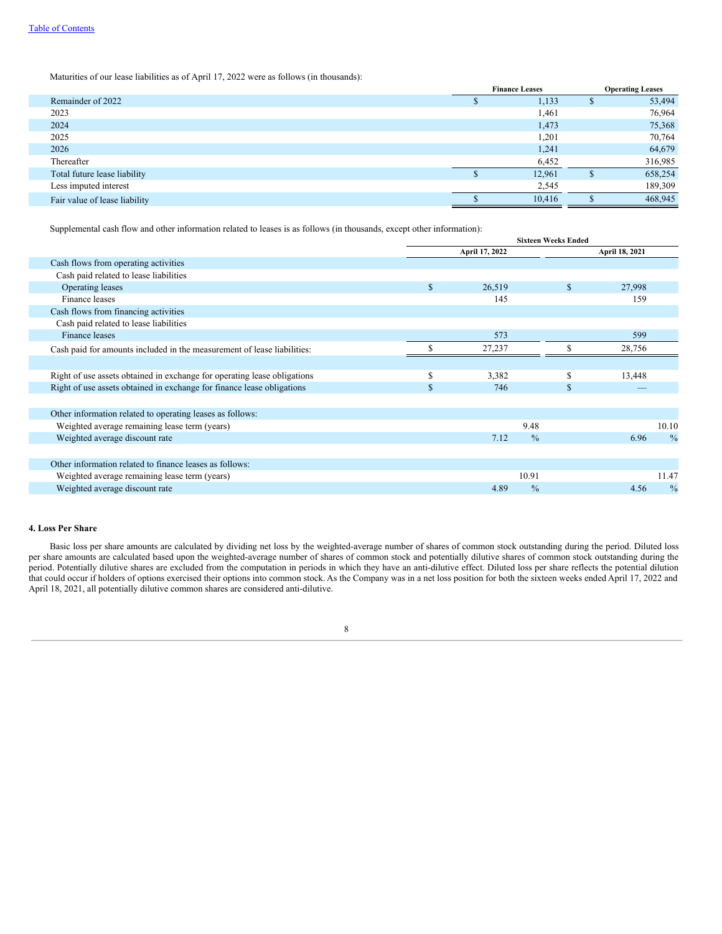Maturities of our lease liabilities as of April 17, 2022 were as follows (in thousands):

|                               | <b>Finance Leases</b> | <b>Operating Leases</b> |         |  |
|-------------------------------|-----------------------|-------------------------|---------|--|
| Remainder of 2022             | 1,133                 | Æ                       | 53,494  |  |
| 2023                          | 1,461                 |                         | 76,964  |  |
| 2024                          | 1,473                 |                         | 75,368  |  |
| 2025                          | 1,201                 |                         | 70,764  |  |
| 2026                          | 1,241                 |                         | 64,679  |  |
| Thereafter                    | 6,452                 |                         | 316,985 |  |
| Total future lease liability  | 12,961                |                         | 658,254 |  |
| Less imputed interest         | 2,545                 |                         | 189,309 |  |
| Fair value of lease liability | 10,416                |                         | 468,945 |  |
|                               |                       |                         |         |  |

Supplemental cash flow and other information related to leases is as follows (in thousands, except other information):

|                                                                          | <b>Sixteen Weeks Ended</b> |                |               |    |                |               |
|--------------------------------------------------------------------------|----------------------------|----------------|---------------|----|----------------|---------------|
|                                                                          |                            | April 17, 2022 |               |    | April 18, 2021 |               |
| Cash flows from operating activities                                     |                            |                |               |    |                |               |
| Cash paid related to lease liabilities                                   |                            |                |               |    |                |               |
| Operating leases                                                         | \$                         | 26,519         |               | \$ | 27,998         |               |
| Finance leases                                                           |                            | 145            |               |    | 159            |               |
| Cash flows from financing activities                                     |                            |                |               |    |                |               |
| Cash paid related to lease liabilities                                   |                            |                |               |    |                |               |
| Finance leases                                                           |                            | 573            |               |    | 599            |               |
| Cash paid for amounts included in the measurement of lease liabilities:  |                            | 27,237         |               |    | 28,756         |               |
|                                                                          |                            |                |               |    |                |               |
| Right of use assets obtained in exchange for operating lease obligations | \$                         | 3,382          |               | S  | 13,448         |               |
| Right of use assets obtained in exchange for finance lease obligations   | \$                         | 746            |               | \$ |                |               |
|                                                                          |                            |                |               |    |                |               |
| Other information related to operating leases as follows:                |                            |                |               |    |                |               |
| Weighted average remaining lease term (years)                            |                            |                | 9.48          |    |                | 10.10         |
| Weighted average discount rate                                           |                            | 7.12           | $\frac{0}{0}$ |    | 6.96           | $\frac{0}{0}$ |
|                                                                          |                            |                |               |    |                |               |
| Other information related to finance leases as follows:                  |                            |                |               |    |                |               |
| Weighted average remaining lease term (years)                            |                            |                | 10.91         |    |                | 11.47         |
| Weighted average discount rate                                           |                            | 4.89           | $\frac{0}{0}$ |    | 4.56           | $\frac{0}{0}$ |

## **4. Loss Per Share**

Basic loss per share amounts are calculated by dividing net loss by the weighted-average number of shares of common stock outstanding during the period. Diluted loss per share amounts are calculated based upon the weighted-average number of shares of common stock and potentially dilutive shares of common stock outstanding during the period. Potentially dilutive shares are excluded from the computation in periods in which they have an anti-dilutive effect. Diluted loss per share reflects the potential dilution that could occur if holders of options exercised their options into common stock. As the Company was in a net loss position for both the sixteen weeks ended April 17, 2022 and April 18, 2021, all potentially dilutive common shares are considered anti-dilutive.

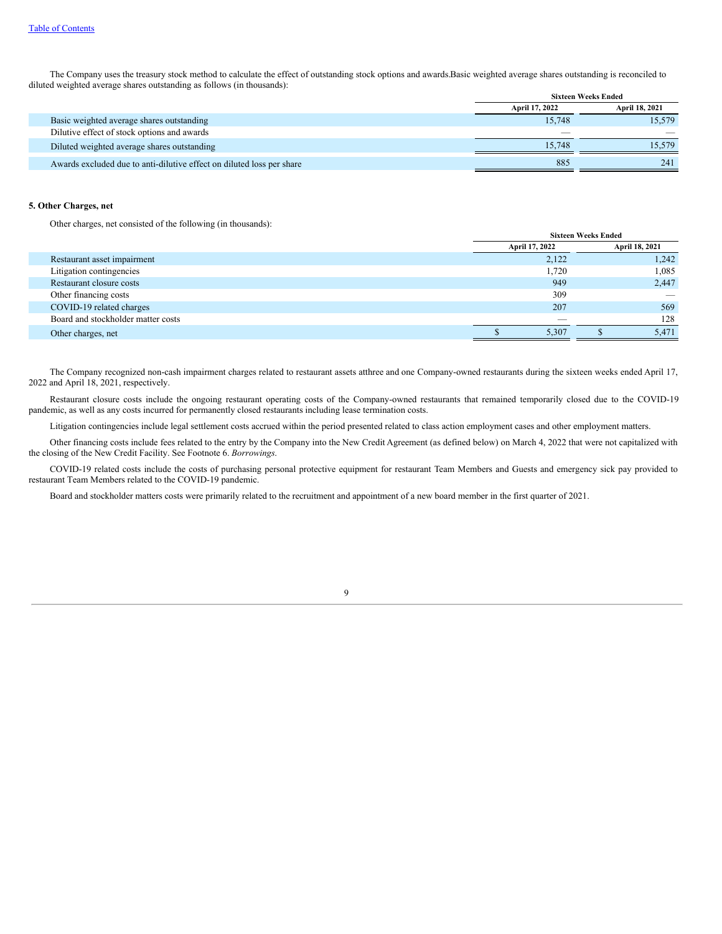The Company uses the treasury stock method to calculate the effect of outstanding stock options and awards.Basic weighted average shares outstanding is reconciled to diluted weighted average shares outstanding as follows (in thousands): **Sixteen Weeks Ended**

|                                                                       |                | Sixteen Weeks Ended |
|-----------------------------------------------------------------------|----------------|---------------------|
|                                                                       | April 17, 2022 | April 18, 2021      |
| Basic weighted average shares outstanding                             | 15.748         | 15,579              |
| Dilutive effect of stock options and awards                           |                |                     |
| Diluted weighted average shares outstanding                           | 15.748         | 15.579              |
| Awards excluded due to anti-dilutive effect on diluted loss per share | 885            | 241                 |

# **5. Other Charges, net**

Other charges, net consisted of the following (in thousands):

| $\overline{\phantom{0}}$<br>$\sim$ $\sim$ |                            |  |                |  |
|-------------------------------------------|----------------------------|--|----------------|--|
|                                           | <b>Sixteen Weeks Ended</b> |  |                |  |
|                                           | April 17, 2022             |  | April 18, 2021 |  |
| Restaurant asset impairment               | 2,122                      |  | 1,242          |  |
| Litigation contingencies                  | 1,720                      |  | 1,085          |  |
| Restaurant closure costs                  | 949                        |  | 2,447          |  |
| Other financing costs                     | 309                        |  |                |  |
| COVID-19 related charges                  | 207                        |  | 569            |  |
| Board and stockholder matter costs        |                            |  | 128            |  |
| Other charges, net                        | 5,307                      |  | 5,471          |  |
|                                           |                            |  |                |  |

The Company recognized non-cash impairment charges related to restaurant assets atthree and one Company-owned restaurants during the sixteen weeks ended April 17, 2022 and April 18, 2021, respectively.

Restaurant closure costs include the ongoing restaurant operating costs of the Company-owned restaurants that remained temporarily closed due to the COVID-19 pandemic, as well as any costs incurred for permanently closed restaurants including lease termination costs.

Litigation contingencies include legal settlement costs accrued within the period presented related to class action employment cases and other employment matters.

Other financing costs include fees related to the entry by the Company into the New Credit Agreement (as defined below) on March 4, 2022 that were not capitalized with the closing of the New Credit Facility. See Footnote 6. *Borrowings*.

COVID-19 related costs include the costs of purchasing personal protective equipment for restaurant Team Members and Guests and emergency sick pay provided to restaurant Team Members related to the COVID-19 pandemic.

Board and stockholder matters costs were primarily related to the recruitment and appointment of a new board member in the first quarter of 2021.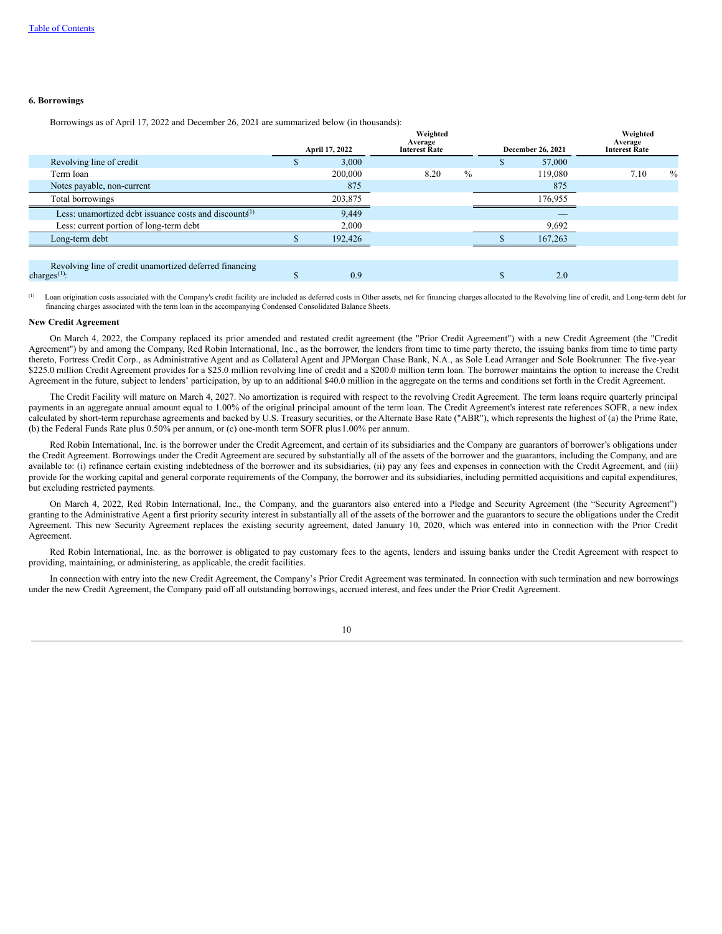## **6. Borrowings**

Borrowings as of April 17, 2022 and December 26, 2021 are summarized below (in thousands):

|                                                                            |    | April 17, 2022 | Weighted<br>Average<br><b>Interest Rate</b> |      |   | December 26, 2021 | Weighted<br>Average<br><b>Interest Rate</b> |      |
|----------------------------------------------------------------------------|----|----------------|---------------------------------------------|------|---|-------------------|---------------------------------------------|------|
| Revolving line of credit                                                   | æ. | 3,000          |                                             |      | æ | 57,000            |                                             |      |
| Term loan                                                                  |    | 200,000        | 8.20                                        | $\%$ |   | 119,080           | 7.10                                        | $\%$ |
| Notes payable, non-current                                                 |    | 875            |                                             |      |   | 875               |                                             |      |
| Total borrowings                                                           |    | 203,875        |                                             |      |   | 176,955           |                                             |      |
| Less: unamortized debt issuance costs and discounts <sup>1)</sup>          |    | 9,449          |                                             |      |   |                   |                                             |      |
| Less: current portion of long-term debt                                    |    | 2,000          |                                             |      |   | 9,692             |                                             |      |
| Long-term debt                                                             |    | 192,426        |                                             |      |   | 167,263           |                                             |      |
|                                                                            |    |                |                                             |      |   |                   |                                             |      |
| Revolving line of credit unamortized deferred financing<br>charges $(1)$ : |    | 0.9            |                                             |      |   | 2.0               |                                             |      |

Loan origination costs associated with the Company's credit facility are included as deferred costs in Other assets, net for financing charges allocated to the Revolving line of credit, and Long-term debt for financing charges associated with the term loan in the accompanying Condensed Consolidated Balance Sheets. (1)

## **New Credit Agreement**

On March 4, 2022, the Company replaced its prior amended and restated credit agreement (the "Prior Credit Agreement") with a new Credit Agreement (the "Credit Agreement") by and among the Company, Red Robin International, Inc., as the borrower, the lenders from time to time party thereto, the issuing banks from time to time party thereto, Fortress Credit Corp., as Administrative Agent and as Collateral Agent and JPMorgan Chase Bank, N.A., as Sole Lead Arranger and Sole Bookrunner. The five-year \$225.0 million Credit Agreement provides for a \$25.0 million revolving line of credit and a \$200.0 million term loan. The borrower maintains the option to increase the Credit Agreement in the future, subject to lenders' participation, by up to an additional \$40.0 million in the aggregate on the terms and conditions set forth in the Credit Agreement.

The Credit Facility will mature on March 4, 2027. No amortization is required with respect to the revolving Credit Agreement. The term loans require quarterly principal payments in an aggregate annual amount equal to 1.00% of the original principal amount of the term loan. The Credit Agreement's interest rate references SOFR, a new index calculated by short-term repurchase agreements and backed by U.S. Treasury securities, or the Alternate Base Rate ("ABR"), which represents the highest of (a) the Prime Rate, (b) the Federal Funds Rate plus 0.50% per annum, or (c) one-month term SOFR plus1.00% per annum.

Red Robin International, Inc. is the borrower under the Credit Agreement, and certain of its subsidiaries and the Company are guarantors of borrower's obligations under the Credit Agreement. Borrowings under the Credit Agreement are secured by substantially all of the assets of the borrower and the guarantors, including the Company, and are available to: (i) refinance certain existing indebtedness of the borrower and its subsidiaries, (ii) pay any fees and expenses in connection with the Credit Agreement, and (iii) provide for the working capital and general corporate requirements of the Company, the borrower and its subsidiaries, including permitted acquisitions and capital expenditures, but excluding restricted payments.

On March 4, 2022, Red Robin International, Inc., the Company, and the guarantors also entered into a Pledge and Security Agreement (the "Security Agreement") granting to the Administrative Agent a first priority security interest in substantially all of the assets of the borrower and the guarantors to secure the obligations under the Credit Agreement. This new Security Agreement replaces the existing security agreement, dated January 10, 2020, which was entered into in connection with the Prior Credit Agreement.

Red Robin International, Inc. as the borrower is obligated to pay customary fees to the agents, lenders and issuing banks under the Credit Agreement with respect to providing, maintaining, or administering, as applicable, the credit facilities.

In connection with entry into the new Credit Agreement, the Company's Prior Credit Agreement was terminated. In connection with such termination and new borrowings under the new Credit Agreement, the Company paid off all outstanding borrowings, accrued interest, and fees under the Prior Credit Agreement.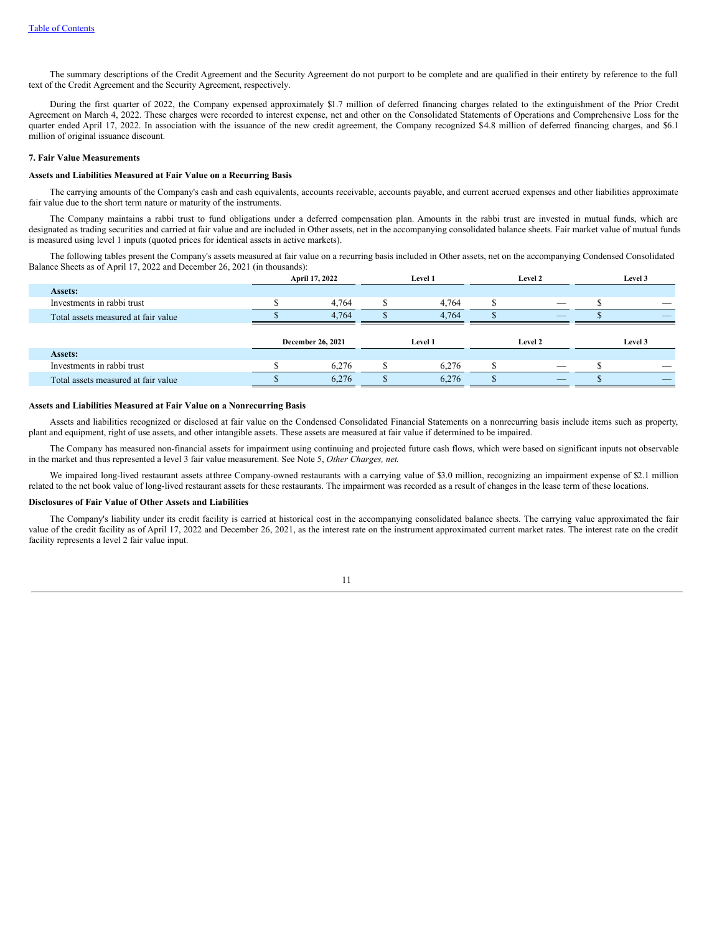The summary descriptions of the Credit Agreement and the Security Agreement do not purport to be complete and are qualified in their entirety by reference to the full text of the Credit Agreement and the Security Agreement, respectively.

During the first quarter of 2022, the Company expensed approximately \$1.7 million of deferred financing charges related to the extinguishment of the Prior Credit Agreement on March 4, 2022. These charges were recorded to interest expense, net and other on the Consolidated Statements of Operations and Comprehensive Loss for the quarter ended April 17, 2022. In association with the issuance of the new credit agreement, the Company recognized \$4.8 million of deferred financing charges, and \$6.1 million of original issuance discount.

## **7. Fair Value Measurements**

## **Assets and Liabilities Measured at Fair Value on a Recurring Basis**

The carrying amounts of the Company's cash and cash equivalents, accounts receivable, accounts payable, and current accrued expenses and other liabilities approximate fair value due to the short term nature or maturity of the instruments.

The Company maintains a rabbi trust to fund obligations under a deferred compensation plan. Amounts in the rabbi trust are invested in mutual funds, which are designated as trading securities and carried at fair value and are included in Other assets, net in the accompanying consolidated balance sheets. Fair market value of mutual funds is measured using level 1 inputs (quoted prices for identical assets in active markets).

The following tables present the Company's assets measured at fair value on a recurring basis included in Other assets, net on the accompanying Condensed Consolidated Balance Sheets as of April 17, 2022 and December 26, 2021 (in thousands):

|                                     | April 17, 2022    | Level 1 | Level 2                  | Level 3 |
|-------------------------------------|-------------------|---------|--------------------------|---------|
| Assets:                             |                   |         |                          |         |
| Investments in rabbi trust          | 4,764             | 4.764   | $\overline{\phantom{a}}$ | __      |
| Total assets measured at fair value | 4.764             | 4.764   | $\overline{\phantom{a}}$ |         |
|                                     |                   |         |                          |         |
|                                     |                   |         |                          |         |
|                                     | December 26, 2021 | Level 1 | Level 2                  | Level 3 |
| Assets:                             |                   |         |                          |         |
| Investments in rabbi trust          | 6,276             | 6.276   | $\overline{\phantom{a}}$ |         |

### **Assets and Liabilities Measured at Fair Value on a Nonrecurring Basis**

Assets and liabilities recognized or disclosed at fair value on the Condensed Consolidated Financial Statements on a nonrecurring basis include items such as property, plant and equipment, right of use assets, and other intangible assets. These assets are measured at fair value if determined to be impaired.

The Company has measured non-financial assets for impairment using continuing and projected future cash flows, which were based on significant inputs not observable in the market and thus represented a level 3 fair value measurement. See Note 5, *Other Charges, net*.

We impaired long-lived restaurant assets atthree Company-owned restaurants with a carrying value of \$3.0 million, recognizing an impairment expense of \$2.1 million related to the net book value of long-lived restaurant assets for these restaurants. The impairment was recorded as a result of changes in the lease term of these locations.

#### **Disclosures of Fair Value of Other Assets and Liabilities**

The Company's liability under its credit facility is carried at historical cost in the accompanying consolidated balance sheets. The carrying value approximated the fair value of the credit facility as of April 17, 2022 and December 26, 2021, as the interest rate on the instrument approximated current market rates. The interest rate on the credit facility represents a level 2 fair value input.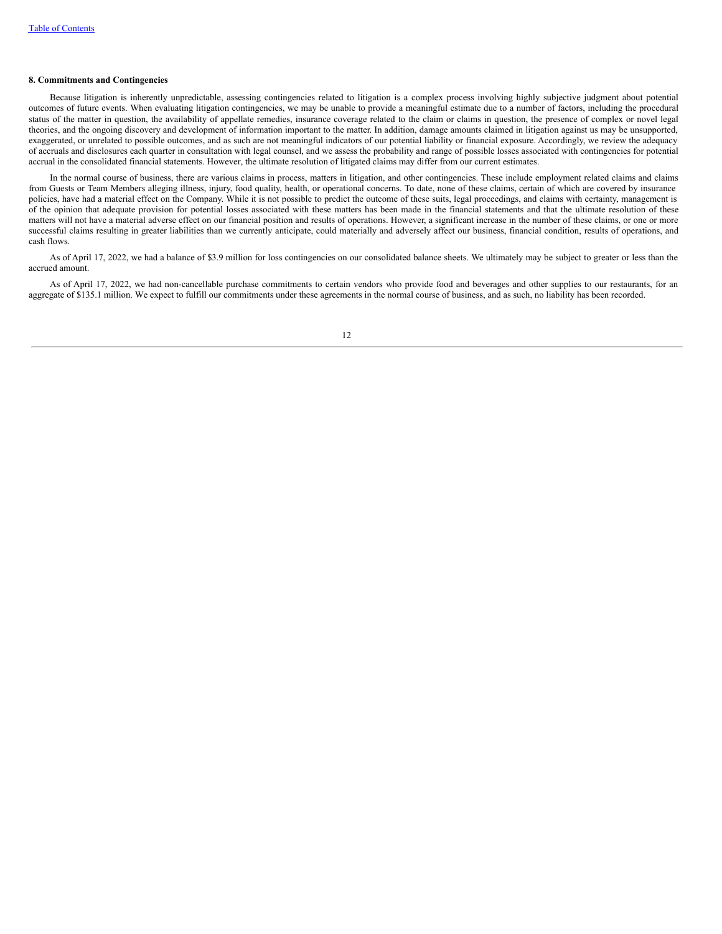## **8. Commitments and Contingencies**

Because litigation is inherently unpredictable, assessing contingencies related to litigation is a complex process involving highly subjective judgment about potential outcomes of future events. When evaluating litigation contingencies, we may be unable to provide a meaningful estimate due to a number of factors, including the procedural status of the matter in question, the availability of appellate remedies, insurance coverage related to the claim or claims in question, the presence of complex or novel legal theories, and the ongoing discovery and development of information important to the matter. In addition, damage amounts claimed in litigation against us may be unsupported, exaggerated, or unrelated to possible outcomes, and as such are not meaningful indicators of our potential liability or financial exposure. Accordingly, we review the adequacy of accruals and disclosures each quarter in consultation with legal counsel, and we assess the probability and range of possible losses associated with contingencies for potential accrual in the consolidated financial statements. However, the ultimate resolution of litigated claims may differ from our current estimates.

In the normal course of business, there are various claims in process, matters in litigation, and other contingencies. These include employment related claims and claims from Guests or Team Members alleging illness, injury, food quality, health, or operational concerns. To date, none of these claims, certain of which are covered by insurance policies, have had a material effect on the Company. While it is not possible to predict the outcome of these suits, legal proceedings, and claims with certainty, management is of the opinion that adequate provision for potential losses associated with these matters has been made in the financial statements and that the ultimate resolution of these matters will not have a material adverse effect on our financial position and results of operations. However, a significant increase in the number of these claims, or one or more successful claims resulting in greater liabilities than we currently anticipate, could materially and adversely affect our business, financial condition, results of operations, and cash flows.

As of April 17, 2022, we had a balance of \$3.9 million for loss contingencies on our consolidated balance sheets. We ultimately may be subject to greater or less than the accrued amount.

<span id="page-13-0"></span>As of April 17, 2022, we had non-cancellable purchase commitments to certain vendors who provide food and beverages and other supplies to our restaurants, for an aggregate of \$135.1 million. We expect to fulfill our commitments under these agreements in the normal course of business, and as such, no liability has been recorded.

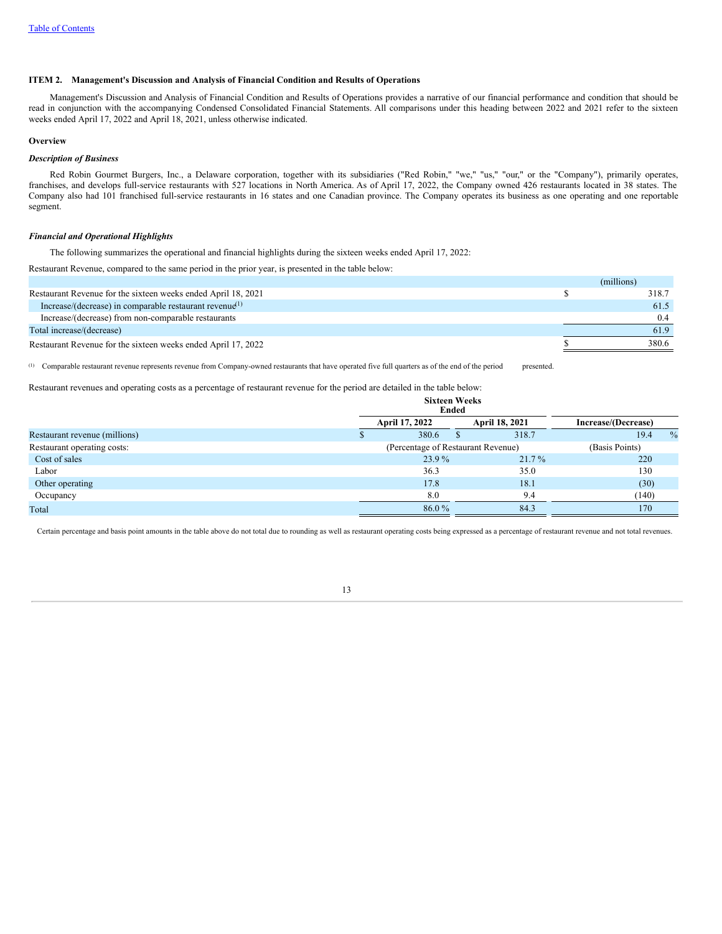## **ITEM 2. Management's Discussion and Analysis of Financial Condition and Results of Operations**

Management's Discussion and Analysis of Financial Condition and Results of Operations provides a narrative of our financial performance and condition that should be read in conjunction with the accompanying Condensed Consolidated Financial Statements. All comparisons under this heading between 2022 and 2021 refer to the sixteen weeks ended April 17, 2022 and April 18, 2021, unless otherwise indicated.

# **Overview**

# *Description of Business*

Red Robin Gourmet Burgers, Inc., a Delaware corporation, together with its subsidiaries ("Red Robin," "we," "us," "our," or the "Company"), primarily operates, franchises, and develops full-service restaurants with 527 locations in North America. As of April 17, 2022, the Company owned 426 restaurants located in 38 states. The Company also had 101 franchised full-service restaurants in 16 states and one Canadian province. The Company operates its business as one operating and one reportable segment.

## *Financial and Operational Highlights*

The following summarizes the operational and financial highlights during the sixteen weeks ended April 17, 2022:

Restaurant Revenue, compared to the same period in the prior year, is presented in the table below:

|                                                                     | (millions) |
|---------------------------------------------------------------------|------------|
| Restaurant Revenue for the sixteen weeks ended April 18, 2021       | 318.7      |
| Increase/(decrease) in comparable restaurant revenue <sup>(1)</sup> | 61.5       |
| Increase/(decrease) from non-comparable restaurants                 | 0.4        |
| Total increase/(decrease)                                           | 61.9       |
| Restaurant Revenue for the sixteen weeks ended April 17, 2022       | 380.6      |
|                                                                     |            |

Comparable restaurant revenue represents revenue from Company-owned restaurants that have operated five full quarters as of the end of the period presented. (1)

Restaurant revenues and operating costs as a percentage of restaurant revenue for the period are detailed in the table below:

|                               |                                    | <b>Sixteen Weeks</b><br>Ended |  |                |                     |               |  |
|-------------------------------|------------------------------------|-------------------------------|--|----------------|---------------------|---------------|--|
|                               |                                    | April 17, 2022                |  | April 18, 2021 | Increase/(Decrease) |               |  |
| Restaurant revenue (millions) |                                    | 380.6                         |  | 318.7          | 19.4                | $\frac{0}{0}$ |  |
| Restaurant operating costs:   | (Percentage of Restaurant Revenue) |                               |  |                |                     |               |  |
| Cost of sales                 |                                    | 23.9%                         |  | $21.7\%$       | 220                 |               |  |
| Labor                         |                                    | 36.3                          |  | 35.0           | 130                 |               |  |
| Other operating               |                                    | 17.8                          |  | 18.1           | (30)                |               |  |
| Occupancy                     |                                    | 8.0                           |  | 9.4            | (140)               |               |  |
| Total                         |                                    | 86.0%                         |  | 84.3           | 170                 |               |  |

Certain percentage and basis point amounts in the table above do not total due to rounding as well as restaurant operating costs being expressed as a percentage of restaurant revenue and not total revenues.

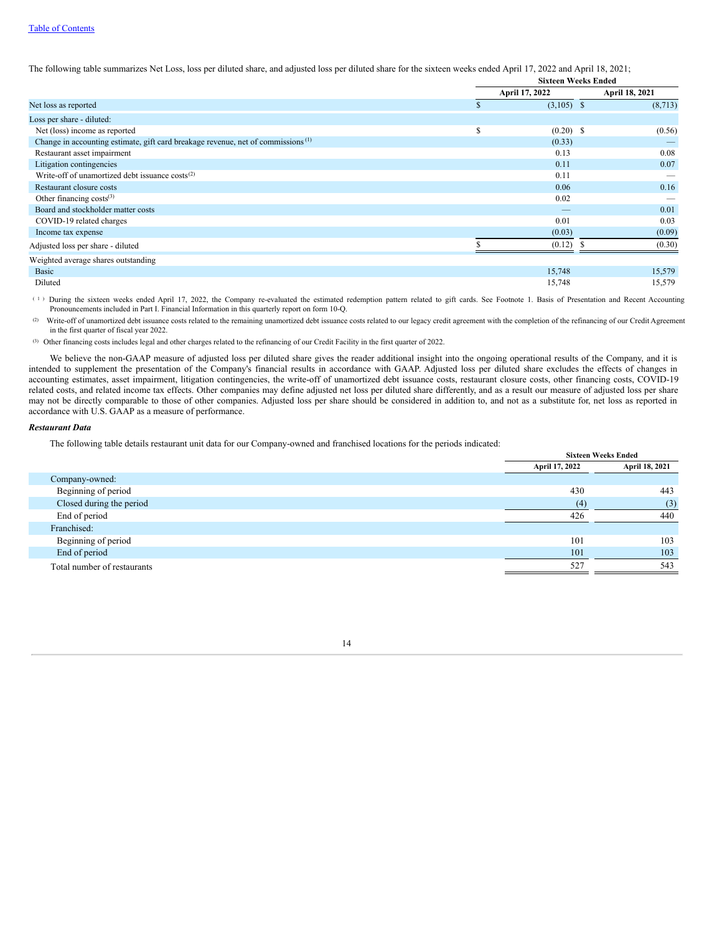The following table summarizes Net Loss, loss per diluted share, and adjusted loss per diluted share for the sixteen weeks ended April 17, 2022 and April 18, 2021;

|                                                                                              |   | <b>Sixteen Weeks Ended</b> |                       |  |  |  |
|----------------------------------------------------------------------------------------------|---|----------------------------|-----------------------|--|--|--|
|                                                                                              |   | April 17, 2022             | <b>April 18, 2021</b> |  |  |  |
| Net loss as reported                                                                         |   | $(3,105)$ \$               | (8,713)               |  |  |  |
| Loss per share - diluted:                                                                    |   |                            |                       |  |  |  |
| Net (loss) income as reported                                                                | S | $(0.20)$ \$                | (0.56)                |  |  |  |
| Change in accounting estimate, gift card breakage revenue, net of commissions <sup>(1)</sup> |   | (0.33)                     |                       |  |  |  |
| Restaurant asset impairment                                                                  |   | 0.13                       | 0.08                  |  |  |  |
| Litigation contingencies                                                                     |   | 0.11                       | 0.07                  |  |  |  |
| Write-off of unamortized debt issuance $costs^{(2)}$                                         |   | 0.11                       |                       |  |  |  |
| Restaurant closure costs                                                                     |   | 0.06                       | 0.16                  |  |  |  |
| Other financing $costs^{(3)}$                                                                |   | 0.02                       |                       |  |  |  |
| Board and stockholder matter costs                                                           |   |                            | 0.01                  |  |  |  |
| COVID-19 related charges                                                                     |   | 0.01                       | 0.03                  |  |  |  |
| Income tax expense                                                                           |   | (0.03)                     | (0.09)                |  |  |  |
| Adjusted loss per share - diluted                                                            |   | (0.12)                     | (0.30)                |  |  |  |
| Weighted average shares outstanding                                                          |   |                            |                       |  |  |  |
| <b>Basic</b>                                                                                 |   | 15,748                     | 15,579                |  |  |  |
| Diluted                                                                                      |   | 15,748                     | 15,579                |  |  |  |

During the sixteen weeks ended April 17, 2022, the Company re-evaluated the estimated redemption pattern related to gift cards. See Footnote 1. Basis of Presentation and Recent Accounting Pronouncements included in Part I. Financial Information in this quarterly report on form 10-Q. ( 1 )

Write-off of unamortized debt issuance costs related to the remaining unamortized debt issuance costs related to our legacy credit agreement with the completion of the refinancing of our Credit Agreement in the first quarter of fiscal year 2022. (2)

(3) Other financing costs includes legal and other charges related to the refinancing of our Credit Facility in the first quarter of 2022.

We believe the non-GAAP measure of adjusted loss per diluted share gives the reader additional insight into the ongoing operational results of the Company, and it is intended to supplement the presentation of the Company's financial results in accordance with GAAP. Adjusted loss per diluted share excludes the effects of changes in accounting estimates, asset impairment, litigation contingencies, the write-off of unamortized debt issuance costs, restaurant closure costs, other financing costs, COVID-19 related costs, and related income tax effects. Other companies may define adjusted net loss per diluted share differently, and as a result our measure of adjusted loss per share may not be directly comparable to those of other companies. Adjusted loss per share should be considered in addition to, and not as a substitute for, net loss as reported in accordance with U.S. GAAP as a measure of performance.

# *Restaurant Data*

The following table details restaurant unit data for our Company-owned and franchised locations for the periods indicated:

| and a series are an except to the contract the property of the contract and a series of the contract of the contract |                | <b>Sixteen Weeks Ended</b> |
|----------------------------------------------------------------------------------------------------------------------|----------------|----------------------------|
|                                                                                                                      | April 17, 2022 | April 18, 2021             |
| Company-owned:                                                                                                       |                |                            |
| Beginning of period                                                                                                  | 430            | 443                        |
| Closed during the period                                                                                             | (4)            | (3)                        |
| End of period                                                                                                        | 426            | 440                        |
| Franchised:                                                                                                          |                |                            |
| Beginning of period                                                                                                  | 101            | 103                        |
| End of period                                                                                                        | 101            | 103                        |
| Total number of restaurants                                                                                          | 527            | 543                        |

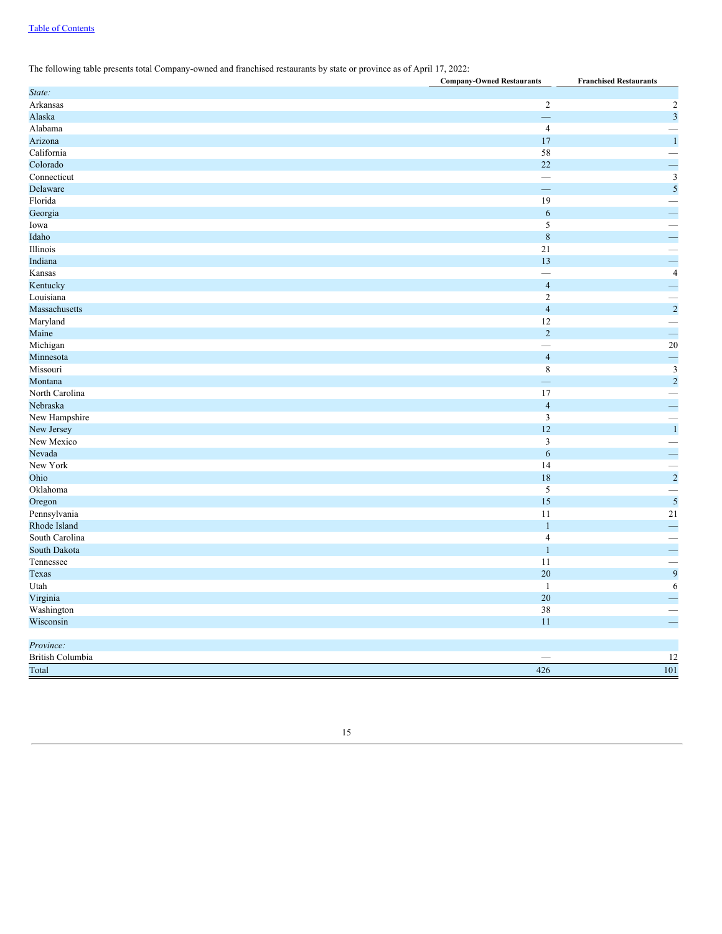# Table of [Contents](#page-0-0)

# The following table presents total Company-owned and franchised restaurants by state or province as of April 17, 2022:

| $\sqrt{2}$<br>$\overline{c}$<br>$\ensuremath{\mathfrak{Z}}$<br>$\equiv$<br>$\overline{4}$<br>$\overline{\phantom{0}}$<br>$\,1\,$<br>17<br>58<br>$\overline{\phantom{0}}$<br>$\equiv$<br>22<br>$\mathfrak{Z}$<br>$\overline{\phantom{0}}$<br>$\overline{\mathbf{5}}$<br>—<br>19<br>$\overline{\phantom{0}}$<br>i.<br>6<br>$\sqrt{5}$<br>$\equiv$<br>$\,$ 8 $\,$<br>21<br>$\frac{1}{4}$<br>13<br>$\overline{\phantom{0}}$<br>$\overline{\phantom{0}}$<br>$\overline{4}$<br>$\overline{2}$<br>$\overline{\mathbf{c}}$<br>$\overline{4}$<br>Maryland<br>12<br>$\overline{\phantom{0}}$<br>$\equiv$<br>$\overline{2}$<br>$20\overline{)}$<br>Michigan<br>$\overline{\phantom{0}}$<br>$\equiv$<br>$\overline{4}$<br>$\overline{\mathbf{3}}$<br>$\,$ 8 $\,$<br>$\overline{c}$<br>Montana<br>17<br>÷<br>$\overline{4}$<br>New Hampshire<br>$\mathfrak z$<br>$\overline{\phantom{0}}$<br>$\,1\,$<br>New Jersey<br>12<br>$\overline{3}$<br>÷<br>6<br>14<br>$\overline{\mathbf{c}}$<br>18<br>5<br>$\overline{\phantom{0}}$<br>$\overline{\mathbf{5}}$<br>15<br>Oregon<br>$21\,$<br>Pennsylvania<br>11<br>$\overline{\phantom{0}}$<br>$\mathbf{1}$<br>$\overline{\mathbf{4}}$<br>South Carolina<br>—<br>÷<br>South Dakota<br>$\mathbf{1}$<br>11<br>Tennessee<br>$\overline{\phantom{0}}$<br>$\begin{array}{c} 9 \\ 6 \end{array}$<br>20<br>Texas<br>$\mathbf{1}$<br>Utah | $\cdot$<br><b>Company-Owned Restaurants</b> |    | <b>Franchised Restaurants</b> |
|--------------------------------------------------------------------------------------------------------------------------------------------------------------------------------------------------------------------------------------------------------------------------------------------------------------------------------------------------------------------------------------------------------------------------------------------------------------------------------------------------------------------------------------------------------------------------------------------------------------------------------------------------------------------------------------------------------------------------------------------------------------------------------------------------------------------------------------------------------------------------------------------------------------------------------------------------------------------------------------------------------------------------------------------------------------------------------------------------------------------------------------------------------------------------------------------------------------------------------------------------------------------------------------------------------------------------------------------------------------|---------------------------------------------|----|-------------------------------|
|                                                                                                                                                                                                                                                                                                                                                                                                                                                                                                                                                                                                                                                                                                                                                                                                                                                                                                                                                                                                                                                                                                                                                                                                                                                                                                                                                              | State:                                      |    |                               |
|                                                                                                                                                                                                                                                                                                                                                                                                                                                                                                                                                                                                                                                                                                                                                                                                                                                                                                                                                                                                                                                                                                                                                                                                                                                                                                                                                              | Arkansas                                    |    |                               |
|                                                                                                                                                                                                                                                                                                                                                                                                                                                                                                                                                                                                                                                                                                                                                                                                                                                                                                                                                                                                                                                                                                                                                                                                                                                                                                                                                              | Alaska                                      |    |                               |
|                                                                                                                                                                                                                                                                                                                                                                                                                                                                                                                                                                                                                                                                                                                                                                                                                                                                                                                                                                                                                                                                                                                                                                                                                                                                                                                                                              | Alabama                                     |    |                               |
|                                                                                                                                                                                                                                                                                                                                                                                                                                                                                                                                                                                                                                                                                                                                                                                                                                                                                                                                                                                                                                                                                                                                                                                                                                                                                                                                                              | Arizona                                     |    |                               |
|                                                                                                                                                                                                                                                                                                                                                                                                                                                                                                                                                                                                                                                                                                                                                                                                                                                                                                                                                                                                                                                                                                                                                                                                                                                                                                                                                              | California                                  |    |                               |
|                                                                                                                                                                                                                                                                                                                                                                                                                                                                                                                                                                                                                                                                                                                                                                                                                                                                                                                                                                                                                                                                                                                                                                                                                                                                                                                                                              | Colorado                                    |    |                               |
|                                                                                                                                                                                                                                                                                                                                                                                                                                                                                                                                                                                                                                                                                                                                                                                                                                                                                                                                                                                                                                                                                                                                                                                                                                                                                                                                                              | Connecticut                                 |    |                               |
|                                                                                                                                                                                                                                                                                                                                                                                                                                                                                                                                                                                                                                                                                                                                                                                                                                                                                                                                                                                                                                                                                                                                                                                                                                                                                                                                                              | Delaware                                    |    |                               |
|                                                                                                                                                                                                                                                                                                                                                                                                                                                                                                                                                                                                                                                                                                                                                                                                                                                                                                                                                                                                                                                                                                                                                                                                                                                                                                                                                              | Florida                                     |    |                               |
|                                                                                                                                                                                                                                                                                                                                                                                                                                                                                                                                                                                                                                                                                                                                                                                                                                                                                                                                                                                                                                                                                                                                                                                                                                                                                                                                                              | Georgia                                     |    |                               |
|                                                                                                                                                                                                                                                                                                                                                                                                                                                                                                                                                                                                                                                                                                                                                                                                                                                                                                                                                                                                                                                                                                                                                                                                                                                                                                                                                              | Iowa                                        |    |                               |
|                                                                                                                                                                                                                                                                                                                                                                                                                                                                                                                                                                                                                                                                                                                                                                                                                                                                                                                                                                                                                                                                                                                                                                                                                                                                                                                                                              | Idaho                                       |    |                               |
|                                                                                                                                                                                                                                                                                                                                                                                                                                                                                                                                                                                                                                                                                                                                                                                                                                                                                                                                                                                                                                                                                                                                                                                                                                                                                                                                                              | Illinois                                    |    |                               |
|                                                                                                                                                                                                                                                                                                                                                                                                                                                                                                                                                                                                                                                                                                                                                                                                                                                                                                                                                                                                                                                                                                                                                                                                                                                                                                                                                              | Indiana                                     |    |                               |
|                                                                                                                                                                                                                                                                                                                                                                                                                                                                                                                                                                                                                                                                                                                                                                                                                                                                                                                                                                                                                                                                                                                                                                                                                                                                                                                                                              | Kansas                                      |    |                               |
|                                                                                                                                                                                                                                                                                                                                                                                                                                                                                                                                                                                                                                                                                                                                                                                                                                                                                                                                                                                                                                                                                                                                                                                                                                                                                                                                                              | Kentucky                                    |    |                               |
|                                                                                                                                                                                                                                                                                                                                                                                                                                                                                                                                                                                                                                                                                                                                                                                                                                                                                                                                                                                                                                                                                                                                                                                                                                                                                                                                                              | Louisiana                                   |    |                               |
|                                                                                                                                                                                                                                                                                                                                                                                                                                                                                                                                                                                                                                                                                                                                                                                                                                                                                                                                                                                                                                                                                                                                                                                                                                                                                                                                                              | Massachusetts                               |    |                               |
|                                                                                                                                                                                                                                                                                                                                                                                                                                                                                                                                                                                                                                                                                                                                                                                                                                                                                                                                                                                                                                                                                                                                                                                                                                                                                                                                                              |                                             |    |                               |
|                                                                                                                                                                                                                                                                                                                                                                                                                                                                                                                                                                                                                                                                                                                                                                                                                                                                                                                                                                                                                                                                                                                                                                                                                                                                                                                                                              | Maine                                       |    |                               |
|                                                                                                                                                                                                                                                                                                                                                                                                                                                                                                                                                                                                                                                                                                                                                                                                                                                                                                                                                                                                                                                                                                                                                                                                                                                                                                                                                              |                                             |    |                               |
|                                                                                                                                                                                                                                                                                                                                                                                                                                                                                                                                                                                                                                                                                                                                                                                                                                                                                                                                                                                                                                                                                                                                                                                                                                                                                                                                                              | Minnesota                                   |    |                               |
|                                                                                                                                                                                                                                                                                                                                                                                                                                                                                                                                                                                                                                                                                                                                                                                                                                                                                                                                                                                                                                                                                                                                                                                                                                                                                                                                                              | Missouri                                    |    |                               |
|                                                                                                                                                                                                                                                                                                                                                                                                                                                                                                                                                                                                                                                                                                                                                                                                                                                                                                                                                                                                                                                                                                                                                                                                                                                                                                                                                              |                                             |    |                               |
|                                                                                                                                                                                                                                                                                                                                                                                                                                                                                                                                                                                                                                                                                                                                                                                                                                                                                                                                                                                                                                                                                                                                                                                                                                                                                                                                                              | North Carolina                              |    |                               |
|                                                                                                                                                                                                                                                                                                                                                                                                                                                                                                                                                                                                                                                                                                                                                                                                                                                                                                                                                                                                                                                                                                                                                                                                                                                                                                                                                              | Nebraska                                    |    |                               |
|                                                                                                                                                                                                                                                                                                                                                                                                                                                                                                                                                                                                                                                                                                                                                                                                                                                                                                                                                                                                                                                                                                                                                                                                                                                                                                                                                              |                                             |    |                               |
|                                                                                                                                                                                                                                                                                                                                                                                                                                                                                                                                                                                                                                                                                                                                                                                                                                                                                                                                                                                                                                                                                                                                                                                                                                                                                                                                                              |                                             |    |                               |
|                                                                                                                                                                                                                                                                                                                                                                                                                                                                                                                                                                                                                                                                                                                                                                                                                                                                                                                                                                                                                                                                                                                                                                                                                                                                                                                                                              | New Mexico                                  |    |                               |
|                                                                                                                                                                                                                                                                                                                                                                                                                                                                                                                                                                                                                                                                                                                                                                                                                                                                                                                                                                                                                                                                                                                                                                                                                                                                                                                                                              | Nevada                                      |    |                               |
|                                                                                                                                                                                                                                                                                                                                                                                                                                                                                                                                                                                                                                                                                                                                                                                                                                                                                                                                                                                                                                                                                                                                                                                                                                                                                                                                                              | New York                                    |    |                               |
|                                                                                                                                                                                                                                                                                                                                                                                                                                                                                                                                                                                                                                                                                                                                                                                                                                                                                                                                                                                                                                                                                                                                                                                                                                                                                                                                                              | Ohio                                        |    |                               |
|                                                                                                                                                                                                                                                                                                                                                                                                                                                                                                                                                                                                                                                                                                                                                                                                                                                                                                                                                                                                                                                                                                                                                                                                                                                                                                                                                              | Oklahoma                                    |    |                               |
|                                                                                                                                                                                                                                                                                                                                                                                                                                                                                                                                                                                                                                                                                                                                                                                                                                                                                                                                                                                                                                                                                                                                                                                                                                                                                                                                                              |                                             |    |                               |
|                                                                                                                                                                                                                                                                                                                                                                                                                                                                                                                                                                                                                                                                                                                                                                                                                                                                                                                                                                                                                                                                                                                                                                                                                                                                                                                                                              |                                             |    |                               |
|                                                                                                                                                                                                                                                                                                                                                                                                                                                                                                                                                                                                                                                                                                                                                                                                                                                                                                                                                                                                                                                                                                                                                                                                                                                                                                                                                              | Rhode Island                                |    |                               |
|                                                                                                                                                                                                                                                                                                                                                                                                                                                                                                                                                                                                                                                                                                                                                                                                                                                                                                                                                                                                                                                                                                                                                                                                                                                                                                                                                              |                                             |    |                               |
|                                                                                                                                                                                                                                                                                                                                                                                                                                                                                                                                                                                                                                                                                                                                                                                                                                                                                                                                                                                                                                                                                                                                                                                                                                                                                                                                                              |                                             |    |                               |
|                                                                                                                                                                                                                                                                                                                                                                                                                                                                                                                                                                                                                                                                                                                                                                                                                                                                                                                                                                                                                                                                                                                                                                                                                                                                                                                                                              |                                             |    |                               |
|                                                                                                                                                                                                                                                                                                                                                                                                                                                                                                                                                                                                                                                                                                                                                                                                                                                                                                                                                                                                                                                                                                                                                                                                                                                                                                                                                              |                                             |    |                               |
|                                                                                                                                                                                                                                                                                                                                                                                                                                                                                                                                                                                                                                                                                                                                                                                                                                                                                                                                                                                                                                                                                                                                                                                                                                                                                                                                                              |                                             |    |                               |
|                                                                                                                                                                                                                                                                                                                                                                                                                                                                                                                                                                                                                                                                                                                                                                                                                                                                                                                                                                                                                                                                                                                                                                                                                                                                                                                                                              | Virginia                                    | 20 | $\equiv$                      |
| 38                                                                                                                                                                                                                                                                                                                                                                                                                                                                                                                                                                                                                                                                                                                                                                                                                                                                                                                                                                                                                                                                                                                                                                                                                                                                                                                                                           | Washington                                  |    |                               |
| $\equiv$<br>11                                                                                                                                                                                                                                                                                                                                                                                                                                                                                                                                                                                                                                                                                                                                                                                                                                                                                                                                                                                                                                                                                                                                                                                                                                                                                                                                               | Wisconsin                                   |    |                               |
|                                                                                                                                                                                                                                                                                                                                                                                                                                                                                                                                                                                                                                                                                                                                                                                                                                                                                                                                                                                                                                                                                                                                                                                                                                                                                                                                                              |                                             |    |                               |
|                                                                                                                                                                                                                                                                                                                                                                                                                                                                                                                                                                                                                                                                                                                                                                                                                                                                                                                                                                                                                                                                                                                                                                                                                                                                                                                                                              | Province:                                   |    |                               |
| 12                                                                                                                                                                                                                                                                                                                                                                                                                                                                                                                                                                                                                                                                                                                                                                                                                                                                                                                                                                                                                                                                                                                                                                                                                                                                                                                                                           | British Columbia                            |    |                               |
| 101<br>426                                                                                                                                                                                                                                                                                                                                                                                                                                                                                                                                                                                                                                                                                                                                                                                                                                                                                                                                                                                                                                                                                                                                                                                                                                                                                                                                                   | Total                                       |    |                               |

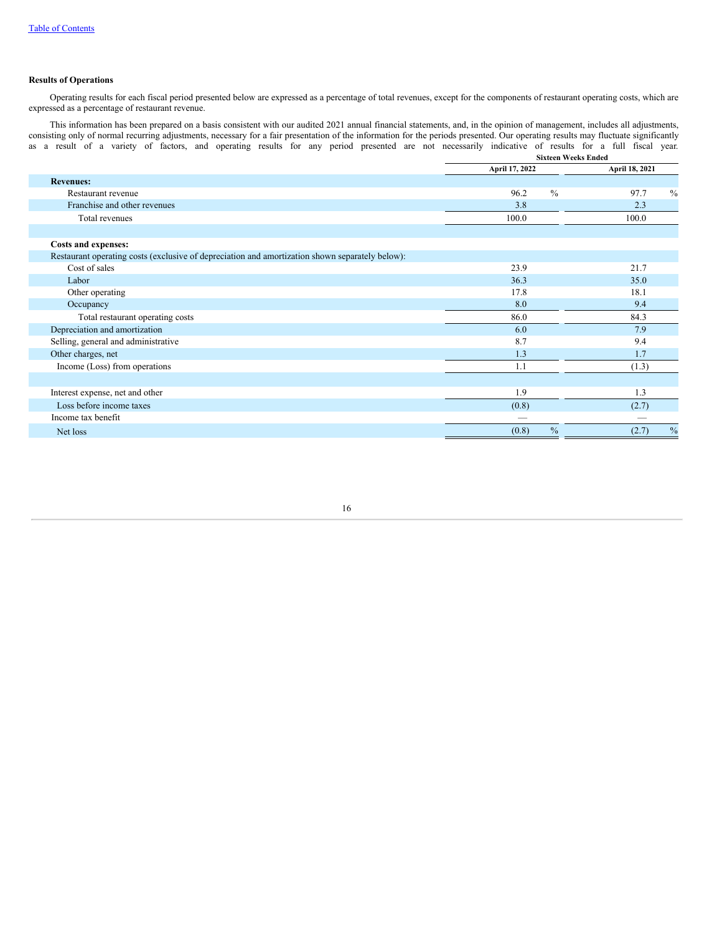# **Results of Operations**

Operating results for each fiscal period presented below are expressed as a percentage of total revenues, except for the components of restaurant operating costs, which are expressed as a percentage of restaurant revenue.

This information has been prepared on a basis consistent with our audited 2021 annual financial statements, and, in the opinion of management, includes all adjustments, consisting only of normal recurring adjustments, necessary for a fair presentation of the information for the periods presented. Our operating results may fluctuate significantly as a result of a variety of factors, and operating results for any period presented are not necessarily indicative of results for a full fiscal year.

|                                                                                                 | <b>Sixteen Weeks Ended</b> |                       |  |  |  |  |
|-------------------------------------------------------------------------------------------------|----------------------------|-----------------------|--|--|--|--|
|                                                                                                 | April 17, 2022             | April 18, 2021        |  |  |  |  |
| <b>Revenues:</b>                                                                                |                            |                       |  |  |  |  |
| Restaurant revenue                                                                              | $\frac{0}{0}$<br>96.2      | $\frac{0}{0}$<br>97.7 |  |  |  |  |
| Franchise and other revenues                                                                    | 3.8                        | 2.3                   |  |  |  |  |
| Total revenues                                                                                  | 100.0                      | 100.0                 |  |  |  |  |
|                                                                                                 |                            |                       |  |  |  |  |
| Costs and expenses:                                                                             |                            |                       |  |  |  |  |
| Restaurant operating costs (exclusive of depreciation and amortization shown separately below): |                            |                       |  |  |  |  |
| Cost of sales                                                                                   | 23.9                       | 21.7                  |  |  |  |  |
| Labor                                                                                           | 36.3                       | 35.0                  |  |  |  |  |
| Other operating                                                                                 | 17.8                       | 18.1                  |  |  |  |  |
| Occupancy                                                                                       | 8.0                        | 9.4                   |  |  |  |  |
| Total restaurant operating costs                                                                | 86.0                       | 84.3                  |  |  |  |  |
| Depreciation and amortization                                                                   | 6.0                        | 7.9                   |  |  |  |  |
| Selling, general and administrative                                                             | 8.7                        | 9.4                   |  |  |  |  |
| Other charges, net                                                                              | 1.3                        | 1.7                   |  |  |  |  |
| Income (Loss) from operations                                                                   | 1.1                        | (1.3)                 |  |  |  |  |
|                                                                                                 |                            |                       |  |  |  |  |
| Interest expense, net and other                                                                 | 1.9                        | 1.3                   |  |  |  |  |
| Loss before income taxes                                                                        | (0.8)                      | (2.7)                 |  |  |  |  |
| Income tax benefit                                                                              |                            |                       |  |  |  |  |
| Net loss                                                                                        | $\frac{0}{0}$<br>(0.8)     | $\%$<br>(2.7)         |  |  |  |  |
|                                                                                                 |                            |                       |  |  |  |  |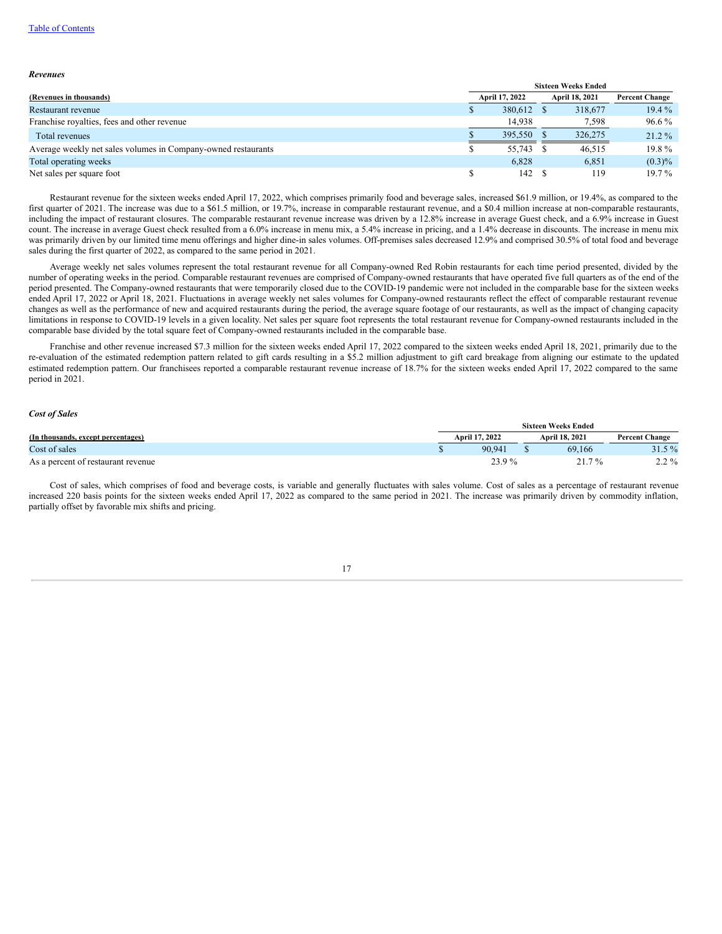## Table of [Contents](#page-0-0)

#### *Revenues*

|                                                               | <b>Sixteen Weeks Ended</b> |                |  |                |                       |  |
|---------------------------------------------------------------|----------------------------|----------------|--|----------------|-----------------------|--|
| (Revenues in thousands)                                       |                            | April 17, 2022 |  | April 18, 2021 | <b>Percent Change</b> |  |
| Restaurant revenue                                            |                            | 380.612 \$     |  | 318,677        | $19.4\%$              |  |
| Franchise royalties, fees and other revenue                   |                            | 14.938         |  | 7,598          | 96.6 %                |  |
| Total revenues                                                |                            | 395,550        |  | 326,275        | $21.2\%$              |  |
| Average weekly net sales volumes in Company-owned restaurants |                            | 55,743 \$      |  | 46,515         | $19.8\%$              |  |
| Total operating weeks                                         |                            | 6.828          |  | 6.851          | $(0.3)\%$             |  |
| Net sales per square foot                                     |                            | 142 \$         |  | 119            | $19.7\%$              |  |

Restaurant revenue for the sixteen weeks ended April 17, 2022, which comprises primarily food and beverage sales, increased \$61.9 million, or 19.4%, as compared to the first quarter of 2021. The increase was due to a \$61.5 million, or 19.7%, increase in comparable restaurant revenue, and a \$0.4 million increase at non-comparable restaurants, including the impact of restaurant closures. The comparable restaurant revenue increase was driven by a 12.8% increase in average Guest check, and a 6.9% increase in Guest count. The increase in average Guest check resulted from a 6.0% increase in menu mix, a 5.4% increase in pricing, and a 1.4% decrease in discounts. The increase in menu mix was primarily driven by our limited time menu offerings and higher dine-in sales volumes. Off-premises sales decreased 12.9% and comprised 30.5% of total food and beverage sales during the first quarter of 2022, as compared to the same period in 2021.

Average weekly net sales volumes represent the total restaurant revenue for all Company-owned Red Robin restaurants for each time period presented, divided by the number of operating weeks in the period. Comparable restaurant revenues are comprised of Company-owned restaurants that have operated five full quarters as of the end of the period presented. The Company-owned restaurants that were temporarily closed due to the COVID-19 pandemic were not included in the comparable base for the sixteen weeks ended April 17, 2022 or April 18, 2021. Fluctuations in average weekly net sales volumes for Company-owned restaurants reflect the effect of comparable restaurant revenue changes as well as the performance of new and acquired restaurants during the period, the average square footage of our restaurants, as well as the impact of changing capacity limitations in response to COVID-19 levels in a given locality. Net sales per square foot represents the total restaurant revenue for Company-owned restaurants included in the comparable base divided by the total square feet of Company-owned restaurants included in the comparable base.

Franchise and other revenue increased \$7.3 million for the sixteen weeks ended April 17, 2022 compared to the sixteen weeks ended April 18, 2021, primarily due to the re-evaluation of the estimated redemption pattern related to gift cards resulting in a \$5.2 million adjustment to gift card breakage from aligning our estimate to the updated estimated redemption pattern. Our franchisees reported a comparable restaurant revenue increase of 18.7% for the sixteen weeks ended April 17, 2022 compared to the same period in 2021.

## *Cost of Sales*

|                                    | <b>Sixteen Weeks Ended</b> |                |  |                       |                       |
|------------------------------------|----------------------------|----------------|--|-----------------------|-----------------------|
| (In thousands, except percentages) |                            | April 17, 2022 |  | <b>April 18, 2021</b> | <b>Percent Change</b> |
| Cost of sales                      |                            | 90.941         |  | 69.166                | $31.5\%$              |
| As a percent of restaurant revenue |                            | 23.9%          |  | 21.7%                 | $2.2\%$               |

Cost of sales, which comprises of food and beverage costs, is variable and generally fluctuates with sales volume. Cost of sales as a percentage of restaurant revenue increased 220 basis points for the sixteen weeks ended April 17, 2022 as compared to the same period in 2021. The increase was primarily driven by commodity inflation, partially offset by favorable mix shifts and pricing.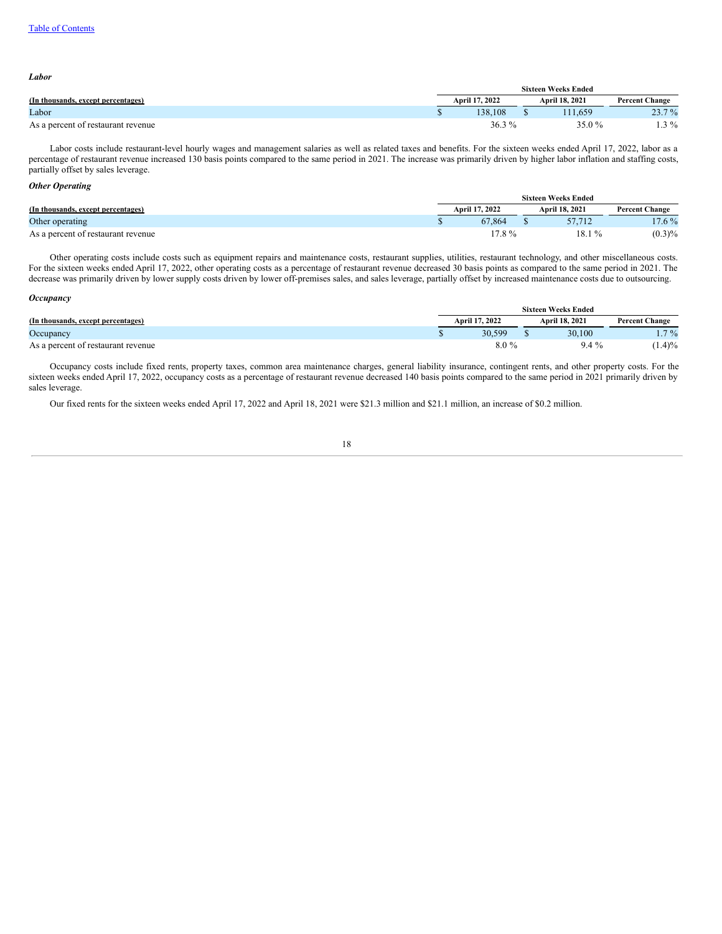| Labor                              |                            |  |                |                       |  |
|------------------------------------|----------------------------|--|----------------|-----------------------|--|
|                                    | <b>Sixteen Weeks Ended</b> |  |                |                       |  |
| (In thousands, except percentages) | April 17, 2022             |  | April 18, 2021 | <b>Percent Change</b> |  |
| Labor                              | 138.108                    |  | 11.659         | $23.7\%$              |  |
| As a percent of restaurant revenue | $36.3\%$                   |  | 35.0 %         | $1.3\%$               |  |

Labor costs include restaurant-level hourly wages and management salaries as well as related taxes and benefits. For the sixteen weeks ended April 17, 2022, labor as a percentage of restaurant revenue increased 130 basis points compared to the same period in 2021. The increase was primarily driven by higher labor inflation and staffing costs, partially offset by sales leverage.

# *Other Operating*

|                                    | <b>Sixteen Weeks Ended</b> |  |                       |                       |  |
|------------------------------------|----------------------------|--|-----------------------|-----------------------|--|
| (In thousands, except percentages) | April 17, 2022             |  | <b>April 18, 2021</b> | <b>Percent Change</b> |  |
| Other operating                    | 67.864                     |  |                       | $17.6\%$              |  |
| As a percent of restaurant revenue | $17.8\%$                   |  | $18.1\%$              | $(0.3)\%$             |  |

Other operating costs include costs such as equipment repairs and maintenance costs, restaurant supplies, utilities, restaurant technology, and other miscellaneous costs. For the sixteen weeks ended April 17, 2022, other operating costs as a percentage of restaurant revenue decreased 30 basis points as compared to the same period in 2021. The decrease was primarily driven by lower supply costs driven by lower off-premises sales, and sales leverage, partially offset by increased maintenance costs due to outsourcing.

## *Occupancy*

|                                    | <b>Sixteen Weeks Ended</b> |                |  |                |                       |
|------------------------------------|----------------------------|----------------|--|----------------|-----------------------|
| (In thousands, except percentages) |                            | April 17, 2022 |  | April 18, 2021 | <b>Percent Change</b> |
| Occupancy                          |                            | 30.599         |  | 30.100         | $7\%$                 |
| As a percent of restaurant revenue |                            | $8.0\%$        |  | $9.4\%$        | $1.4\frac{9}{6}$      |

Occupancy costs include fixed rents, property taxes, common area maintenance charges, general liability insurance, contingent rents, and other property costs. For the sixteen weeks ended April 17, 2022, occupancy costs as a percentage of restaurant revenue decreased 140 basis points compared to the same period in 2021 primarily driven by sales leverage.

Our fixed rents for the sixteen weeks ended April 17, 2022 and April 18, 2021 were \$21.3 million and \$21.1 million, an increase of \$0.2 million.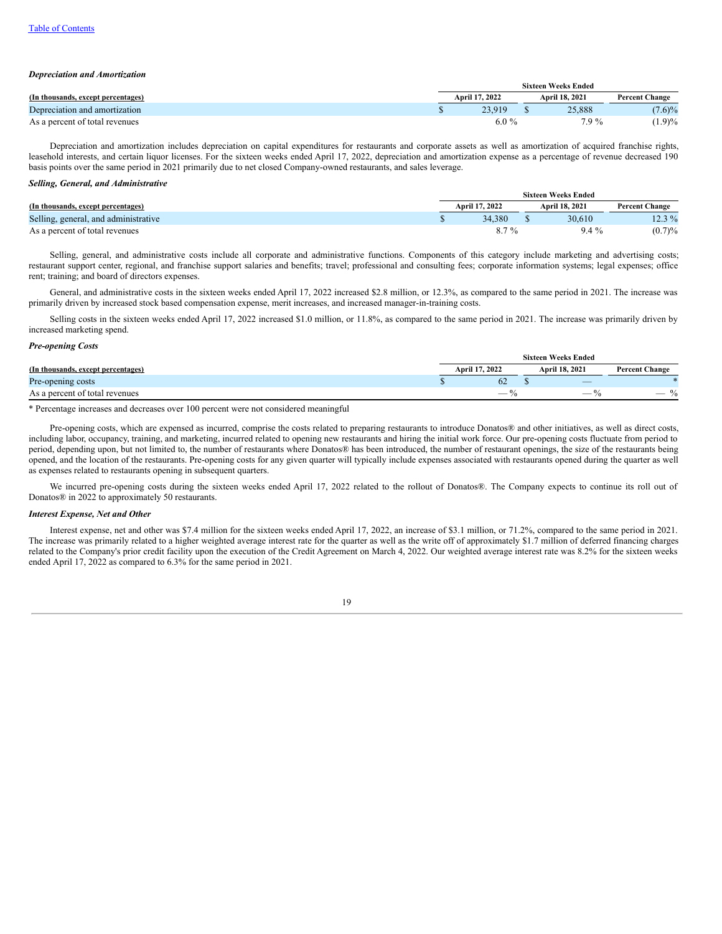## *Depreciation and Amortization*

|                                    | <b>Sixteen Weeks Ended</b> |                |  |                |                       |
|------------------------------------|----------------------------|----------------|--|----------------|-----------------------|
| (In thousands, except percentages) |                            | April 17, 2022 |  | April 18, 2021 | <b>Percent Change</b> |
| Depreciation and amortization      |                            | 23.919         |  | 25,888         | $(7.6)\%$             |
| As a percent of total revenues     |                            | $6.0\%$        |  | 7.9%           | $(1.9)\%$             |

Depreciation and amortization includes depreciation on capital expenditures for restaurants and corporate assets as well as amortization of acquired franchise rights, leasehold interests, and certain liquor licenses. For the sixteen weeks ended April 17, 2022, depreciation and amortization expense as a percentage of revenue decreased 190 basis points over the same period in 2021 primarily due to net closed Company-owned restaurants, and sales leverage.

### *Selling, General, and Administrative*

|                                      | <b>Sixteen Weeks Ended</b> |                |  |                |                       |  |
|--------------------------------------|----------------------------|----------------|--|----------------|-----------------------|--|
| (In thousands, except percentages)   |                            | April 17, 2022 |  | April 18, 2021 | <b>Percent Change</b> |  |
| Selling, general, and administrative |                            | 34.380         |  | 30.610         | 12.3 %                |  |
| As a percent of total revenues       |                            | $8.7\%$        |  | $9.4\%$        | (0.7)%                |  |

Selling, general, and administrative costs include all corporate and administrative functions. Components of this category include marketing and advertising costs; restaurant support center, regional, and franchise support salaries and benefits; travel; professional and consulting fees; corporate information systems; legal expenses; office rent; training; and board of directors expenses.

General, and administrative costs in the sixteen weeks ended April 17, 2022 increased \$2.8 million, or 12.3%, as compared to the same period in 2021. The increase was primarily driven by increased stock based compensation expense, merit increases, and increased manager-in-training costs.

Selling costs in the sixteen weeks ended April 17, 2022 increased \$1.0 million, or 11.8%, as compared to the same period in 2021. The increase was primarily driven by increased marketing spend.

### *Pre-opening Costs*

|                                    | <b>Sixteen Weeks Ended</b> |                                   |                       |  |  |
|------------------------------------|----------------------------|-----------------------------------|-----------------------|--|--|
| (In thousands, except percentages) | April 17, 2022             | April 18, 2021                    | <b>Percent Change</b> |  |  |
| Pre-opening costs                  | 62                         | $\hspace{1.5cm} \overbrace{ }^{}$ |                       |  |  |
| As a percent of total revenues     | $-$                        | $\sim$                            | $\frac{0}{0}$         |  |  |

\* Percentage increases and decreases over 100 percent were not considered meaningful

Pre-opening costs, which are expensed as incurred, comprise the costs related to preparing restaurants to introduce Donatos® and other initiatives, as well as direct costs, including labor, occupancy, training, and marketing, incurred related to opening new restaurants and hiring the initial work force. Our pre-opening costs fluctuate from period to period, depending upon, but not limited to, the number of restaurants where Donatos® has been introduced, the number of restaurant openings, the size of the restaurants being opened, and the location of the restaurants. Pre-opening costs for any given quarter will typically include expenses associated with restaurants opened during the quarter as well as expenses related to restaurants opening in subsequent quarters.

We incurred pre-opening costs during the sixteen weeks ended April 17, 2022 related to the rollout of Donatos®. The Company expects to continue its roll out of Donatos® in 2022 to approximately 50 restaurants.

### *Interest Expense, Net and Other*

Interest expense, net and other was \$7.4 million for the sixteen weeks ended April 17, 2022, an increase of \$3.1 million, or 71.2%, compared to the same period in 2021. The increase was primarily related to a higher weighted average interest rate for the quarter as well as the write off of approximately \$1.7 million of deferred financing charges related to the Company's prior credit facility upon the execution of the Credit Agreement on March 4, 2022. Our weighted average interest rate was 8.2% for the sixteen weeks ended April 17, 2022 as compared to 6.3% for the same period in 2021.

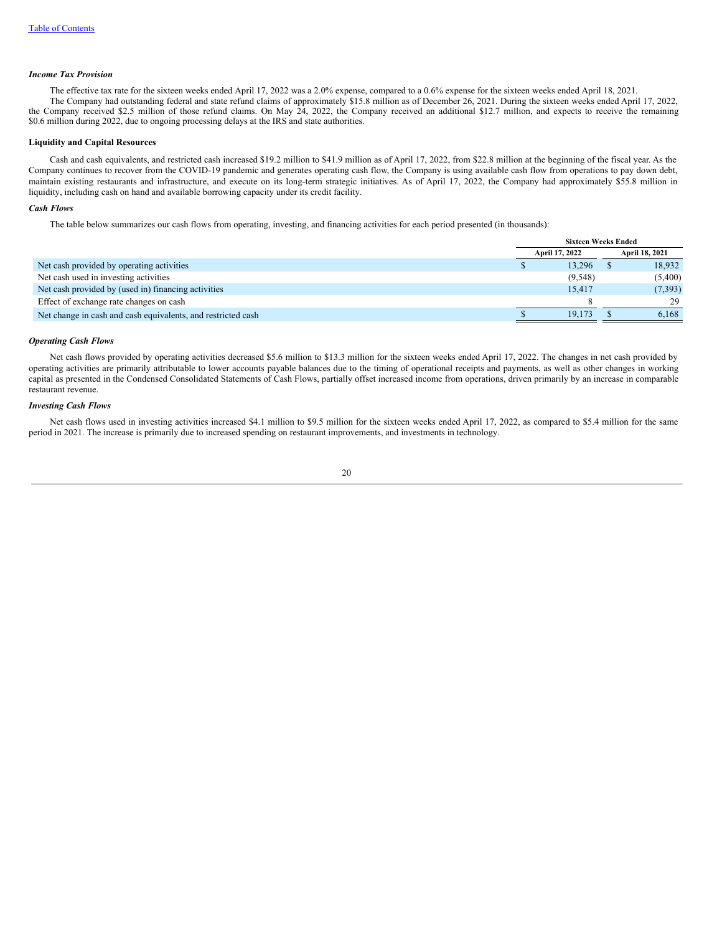## *Income Tax Provision*

The effective tax rate for the sixteen weeks ended April 17, 2022 was a 2.0% expense, compared to a 0.6% expense for the sixteen weeks ended April 18, 2021. The Company had outstanding federal and state refund claims of approximately \$15.8 million as of December 26, 2021. During the sixteen weeks ended April 17, 2022, the Company received \$2.5 million of those refund claims. On May 24, 2022, the Company received an additional \$12.7 million, and expects to receive the remaining \$0.6 million during 2022, due to ongoing processing delays at the IRS and state authorities.

## **Liquidity and Capital Resources**

Cash and cash equivalents, and restricted cash increased \$19.2 million to \$41.9 million as of April 17, 2022, from \$22.8 million at the beginning of the fiscal year. As the Company continues to recover from the COVID-19 pandemic and generates operating cash flow, the Company is using available cash flow from operations to pay down debt, maintain existing restaurants and infrastructure, and execute on its long-term strategic initiatives. As of April 17, 2022, the Company had approximately \$55.8 million in liquidity, including cash on hand and available borrowing capacity under its credit facility.

# *Cash Flows*

The table below summarizes our cash flows from operating, investing, and financing activities for each period presented (in thousands):

|                                                              | <b>Sixteen Weeks Ended</b> |          |  |                |
|--------------------------------------------------------------|----------------------------|----------|--|----------------|
|                                                              | April 17, 2022             |          |  | April 18, 2021 |
| Net cash provided by operating activities                    |                            | 13.296   |  | 18.932         |
| Net cash used in investing activities                        |                            | (9, 548) |  | (5,400)        |
| Net cash provided by (used in) financing activities          |                            | 15.417   |  | (7,393)        |
| Effect of exchange rate changes on cash                      |                            |          |  | 29             |
| Net change in cash and cash equivalents, and restricted cash |                            | 19.173   |  | 6.168          |

### *Operating Cash Flows*

Net cash flows provided by operating activities decreased \$5.6 million to \$13.3 million for the sixteen weeks ended April 17, 2022. The changes in net cash provided by operating activities are primarily attributable to lower accounts payable balances due to the timing of operational receipts and payments, as well as other changes in working capital as presented in the Condensed Consolidated Statements of Cash Flows, partially offset increased income from operations, driven primarily by an increase in comparable restaurant revenue.

# *Investing Cash Flows*

Net cash flows used in investing activities increased \$4.1 million to \$9.5 million for the sixteen weeks ended April 17, 2022, as compared to \$5.4 million for the same period in 2021. The increase is primarily due to increased spending on restaurant improvements, and investments in technology.

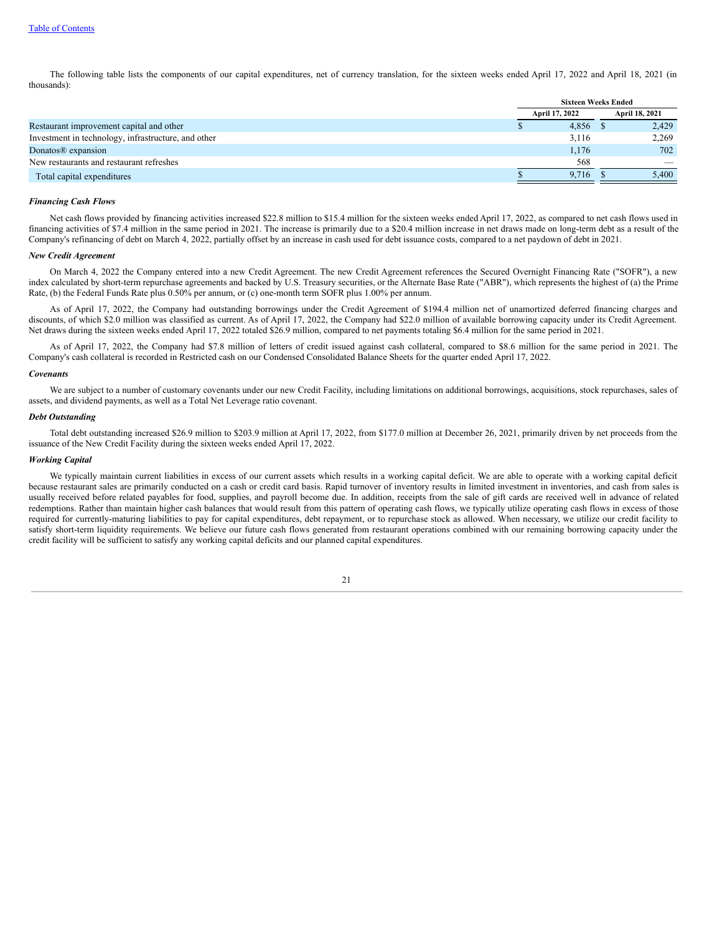The following table lists the components of our capital expenditures, net of currency translation, for the sixteen weeks ended April 17, 2022 and April 18, 2021 (in thousands):

|                                                     | <b>Sixteen Weeks Ended</b> |                |  |                          |
|-----------------------------------------------------|----------------------------|----------------|--|--------------------------|
|                                                     |                            | April 17, 2022 |  | April 18, 2021           |
| Restaurant improvement capital and other            |                            | 4,856          |  | 2,429                    |
| Investment in technology, infrastructure, and other |                            | 3,116          |  | 2,269                    |
| Donatos <sup>®</sup> expansion                      |                            | 1,176          |  | 702                      |
| New restaurants and restaurant refreshes            |                            | 568            |  | $\overline{\phantom{a}}$ |
| Total capital expenditures                          |                            | 9.716          |  | 5.400                    |

### *Financing Cash Flows*

Net cash flows provided by financing activities increased \$22.8 million to \$15.4 million for the sixteen weeks ended April 17, 2022, as compared to net cash flows used in financing activities of \$7.4 million in the same period in 2021. The increase is primarily due to a \$20.4 million increase in net draws made on long-term debt as a result of the Company's refinancing of debt on March 4, 2022, partially offset by an increase in cash used for debt issuance costs, compared to a net paydown of debt in 2021.

## *New Credit Agreement*

On March 4, 2022 the Company entered into a new Credit Agreement. The new Credit Agreement references the Secured Overnight Financing Rate ("SOFR"), a new index calculated by short-term repurchase agreements and backed by U.S. Treasury securities, or the Alternate Base Rate ("ABR"), which represents the highest of (a) the Prime Rate, (b) the Federal Funds Rate plus 0.50% per annum, or (c) one-month term SOFR plus 1.00% per annum.

As of April 17, 2022, the Company had outstanding borrowings under the Credit Agreement of \$194.4 million net of unamortized deferred financing charges and discounts, of which \$2.0 million was classified as current. As of April 17, 2022, the Company had \$22.0 million of available borrowing capacity under its Credit Agreement. Net draws during the sixteen weeks ended April 17, 2022 totaled \$26.9 million, compared to net payments totaling \$6.4 million for the same period in 2021.

As of April 17, 2022, the Company had \$7.8 million of letters of credit issued against cash collateral, compared to \$8.6 million for the same period in 2021. The Company's cash collateral is recorded in Restricted cash on our Condensed Consolidated Balance Sheets for the quarter ended April 17, 2022.

#### *Covenants*

We are subject to a number of customary covenants under our new Credit Facility, including limitations on additional borrowings, acquisitions, stock repurchases, sales of assets, and dividend payments, as well as a Total Net Leverage ratio covenant.

### *Debt Outstanding*

Total debt outstanding increased \$26.9 million to \$203.9 million at April 17, 2022, from \$177.0 million at December 26, 2021, primarily driven by net proceeds from the issuance of the New Credit Facility during the sixteen weeks ended April 17, 2022.

### *Working Capital*

We typically maintain current liabilities in excess of our current assets which results in a working capital deficit. We are able to operate with a working capital deficit because restaurant sales are primarily conducted on a cash or credit card basis. Rapid turnover of inventory results in limited investment in inventories, and cash from sales is usually received before related payables for food, supplies, and payroll become due. In addition, receipts from the sale of gift cards are received well in advance of related redemptions. Rather than maintain higher cash balances that would result from this pattern of operating cash flows, we typically utilize operating cash flows in excess of those required for currently-maturing liabilities to pay for capital expenditures, debt repayment, or to repurchase stock as allowed. When necessary, we utilize our credit facility to satisfy short-term liquidity requirements. We believe our future cash flows generated from restaurant operations combined with our remaining borrowing capacity under the credit facility will be sufficient to satisfy any working capital deficits and our planned capital expenditures.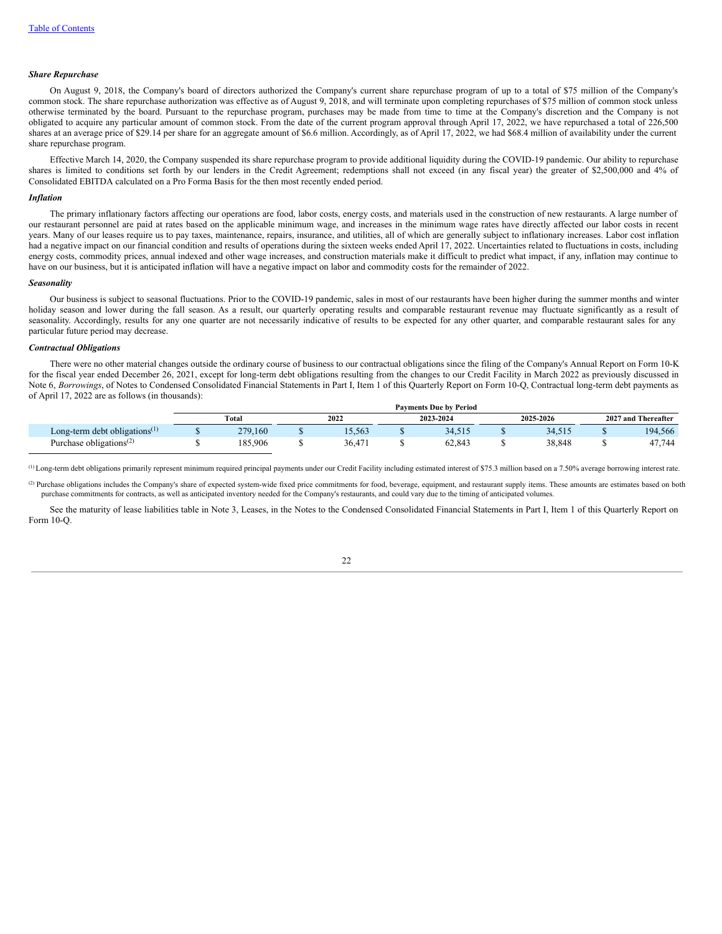#### *Share Repurchase*

On August 9, 2018, the Company's board of directors authorized the Company's current share repurchase program of up to a total of \$75 million of the Company's common stock. The share repurchase authorization was effective as of August 9, 2018, and will terminate upon completing repurchases of \$75 million of common stock unless otherwise terminated by the board. Pursuant to the repurchase program, purchases may be made from time to time at the Company's discretion and the Company is not obligated to acquire any particular amount of common stock. From the date of the current program approval through April 17, 2022, we have repurchased a total of 226,500 shares at an average price of \$29.14 per share for an aggregate amount of \$6.6 million. Accordingly, as of April 17, 2022, we had \$68.4 million of availability under the current share repurchase program.

Effective March 14, 2020, the Company suspended its share repurchase program to provide additional liquidity during the COVID-19 pandemic. Our ability to repurchase shares is limited to conditions set forth by our lenders in the Credit Agreement; redemptions shall not exceed (in any fiscal year) the greater of \$2,500,000 and 4% of Consolidated EBITDA calculated on a Pro Forma Basis for the then most recently ended period.

#### *Inflation*

The primary inflationary factors affecting our operations are food, labor costs, energy costs, and materials used in the construction of new restaurants. A large number of our restaurant personnel are paid at rates based on the applicable minimum wage, and increases in the minimum wage rates have directly affected our labor costs in recent years. Many of our leases require us to pay taxes, maintenance, repairs, insurance, and utilities, all of which are generally subject to inflationary increases. Labor cost inflation had a negative impact on our financial condition and results of operations during the sixteen weeks ended April 17, 2022. Uncertainties related to fluctuations in costs, including energy costs, commodity prices, annual indexed and other wage increases, and construction materials make it difficult to predict what impact, if any, inflation may continue to have on our business, but it is anticipated inflation will have a negative impact on labor and commodity costs for the remainder of 2022.

## *Seasonality*

Our business is subject to seasonal fluctuations. Prior to the COVID-19 pandemic, sales in most of our restaurants have been higher during the summer months and winter holiday season and lower during the fall season. As a result, our quarterly operating results and comparable restaurant revenue may fluctuate significantly as a result of seasonality. Accordingly, results for any one quarter are not necessarily indicative of results to be expected for any other quarter, and comparable restaurant sales for any particular future period may decrease.

### *Contractual Obligations*

There were no other material changes outside the ordinary course of business to our contractual obligations since the filing of the Company's Annual Report on Form 10-K for the fiscal year ended December 26, 2021, except for long-term debt obligations resulting from the changes to our Credit Facility in March 2022 as previously discussed in Note 6, *Borrowings*, of Notes to Condensed Consolidated Financial Statements in Part I, Item 1 of this Quarterly Report on Form 10-Q, Contractual long-term debt payments as of April 17, 2022 are as follows (in thousands):

|                                                        | <b>Payments Due by Period</b> |         |      |        |           |        |           |        |                     |         |
|--------------------------------------------------------|-------------------------------|---------|------|--------|-----------|--------|-----------|--------|---------------------|---------|
|                                                        |                               | Total   | 2022 |        | 2023-2024 |        | 2025-2026 |        | 2027 and Thereafter |         |
| Long-term debt obligations <sup><math>(1)</math></sup> |                               | 279.160 |      | 15.563 |           | 34.515 |           | 34.515 |                     | 194,566 |
| Purchase obligations <sup><math>(2)</math></sup>       |                               | 185.906 |      | 36.471 |           | 62.843 |           | 38.848 |                     | 47,744  |

Long-term debt obligations primarily represent minimum required principal payments under our Credit Facility including estimated interest of \$75.3 million based on a 7.50% average borrowing interest rate. (1)

<sup>(2)</sup> Purchase obligations includes the Company's share of expected system-wide fixed price commitments for food, beverage, equipment, and restaurant supply items. These amounts are estimates based on both purchase commitments for contracts, as well as anticipated inventory needed for the Company's restaurants, and could vary due to the timing of anticipated volumes.

See the maturity of lease liabilities table in Note 3, Leases, in the Notes to the Condensed Consolidated Financial Statements in Part I, Item 1 of this Quarterly Report on Form 10-Q.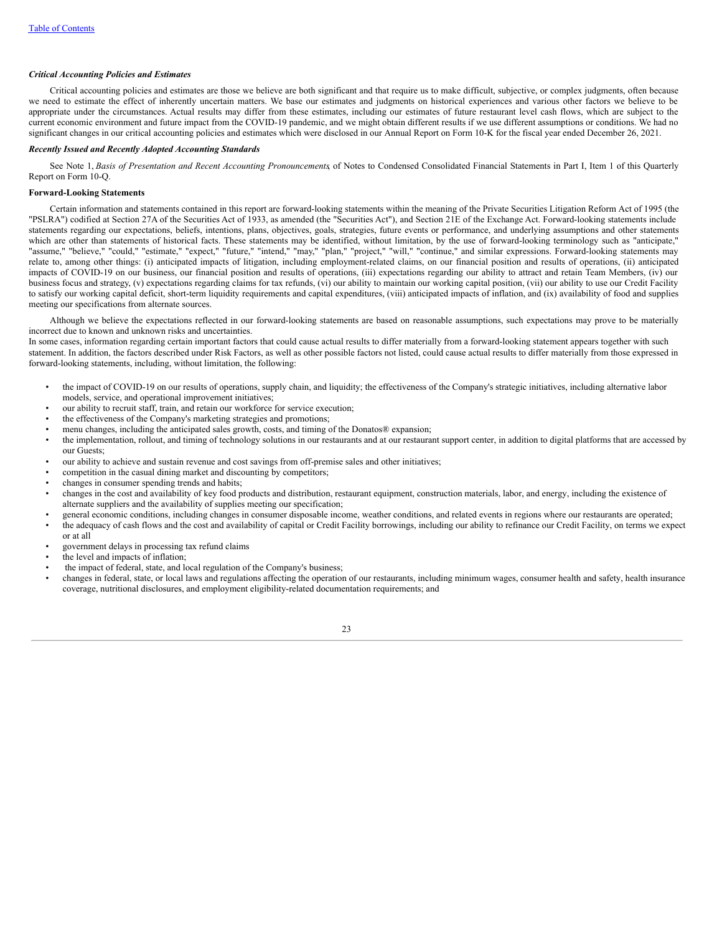## *Critical Accounting Policies and Estimates*

Critical accounting policies and estimates are those we believe are both significant and that require us to make difficult, subjective, or complex judgments, often because we need to estimate the effect of inherently uncertain matters. We base our estimates and judgments on historical experiences and various other factors we believe to be appropriate under the circumstances. Actual results may differ from these estimates, including our estimates of future restaurant level cash flows, which are subject to the current economic environment and future impact from the COVID-19 pandemic, and we might obtain different results if we use different assumptions or conditions. We had no significant changes in our critical accounting policies and estimates which were disclosed in our Annual Report on Form 10-K for the fiscal year ended December 26, 2021.

### *Recently Issued and Recently Adopted Accounting Standards*

See Note 1, *Basis of Presentation and Recent Accounting Pronouncements*, of Notes to Condensed Consolidated Financial Statements in Part I, Item 1 of this Quarterly Report on Form 10-Q.

## **Forward-Looking Statements**

Certain information and statements contained in this report are forward-looking statements within the meaning of the Private Securities Litigation Reform Act of 1995 (the "PSLRA") codified at Section 27A of the Securities Act of 1933, as amended (the "Securities Act"), and Section 21E of the Exchange Act. Forward-looking statements include statements regarding our expectations, beliefs, intentions, plans, objectives, goals, strategies, future events or performance, and underlying assumptions and other statements which are other than statements of historical facts. These statements may be identified, without limitation, by the use of forward-looking terminology such as "anticipate," "assume," "believe," "could," "estimate," "expect," "future," "intend," "may," "plan," "project," "will," "continue," and similar expressions. Forward-looking statements may relate to, among other things: (i) anticipated impacts of litigation, including employment-related claims, on our financial position and results of operations, (ii) anticipated impacts of COVID-19 on our business, our financial position and results of operations, (iii) expectations regarding our ability to attract and retain Team Members, (iv) our business focus and strategy, (v) expectations regarding claims for tax refunds, (vi) our ability to maintain our working capital position, (vii) our ability to use our Credit Facility to satisfy our working capital deficit, short-term liquidity requirements and capital expenditures, (viii) anticipated impacts of inflation, and (ix) availability of food and supplies meeting our specifications from alternate sources.

Although we believe the expectations reflected in our forward-looking statements are based on reasonable assumptions, such expectations may prove to be materially incorrect due to known and unknown risks and uncertainties.

In some cases, information regarding certain important factors that could cause actual results to differ materially from a forward-looking statement appears together with such statement. In addition, the factors described under Risk Factors, as well as other possible factors not listed, could cause actual results to differ materially from those expressed in forward-looking statements, including, without limitation, the following:

- the impact of COVID-19 on our results of operations, supply chain, and liquidity; the effectiveness of the Company's strategic initiatives, including alternative labor models, service, and operational improvement initiatives;
- our ability to recruit staff, train, and retain our workforce for service execution;
- the effectiveness of the Company's marketing strategies and promotions;
- menu changes, including the anticipated sales growth, costs, and timing of the Donatos® expansion;
- the implementation, rollout, and timing of technology solutions in our restaurants and at our restaurant support center, in addition to digital platforms that are accessed by our Guests;
- our ability to achieve and sustain revenue and cost savings from off-premise sales and other initiatives;
- competition in the casual dining market and discounting by competitors;
- changes in consumer spending trends and habits;
- changes in the cost and availability of key food products and distribution, restaurant equipment, construction materials, labor, and energy, including the existence of alternate suppliers and the availability of supplies meeting our specification;
- general economic conditions, including changes in consumer disposable income, weather conditions, and related events in regions where our restaurants are operated;
- the adequacy of cash flows and the cost and availability of capital or Credit Facility borrowings, including our ability to refinance our Credit Facility, on terms we expect or at all
- government delays in processing tax refund claims
- the level and impacts of inflation;
- the impact of federal, state, and local regulation of the Company's business;
- changes in federal, state, or local laws and regulations affecting the operation of our restaurants, including minimum wages, consumer health and safety, health insurance coverage, nutritional disclosures, and employment eligibility-related documentation requirements; and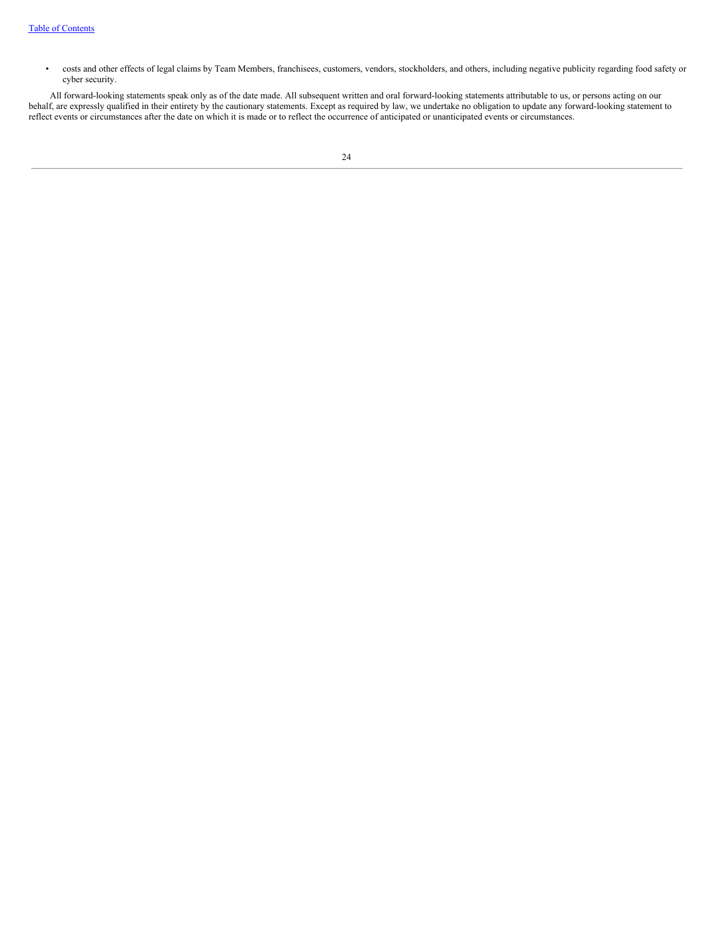• costs and other effects of legal claims by Team Members, franchisees, customers, vendors, stockholders, and others, including negative publicity regarding food safety or cyber security.

<span id="page-25-0"></span>All forward-looking statements speak only as of the date made. All subsequent written and oral forward-looking statements attributable to us, or persons acting on our behalf, are expressly qualified in their entirety by the cautionary statements. Except as required by law, we undertake no obligation to update any forward-looking statement to reflect events or circumstances after the date on which it is made or to reflect the occurrence of anticipated or unanticipated events or circumstances.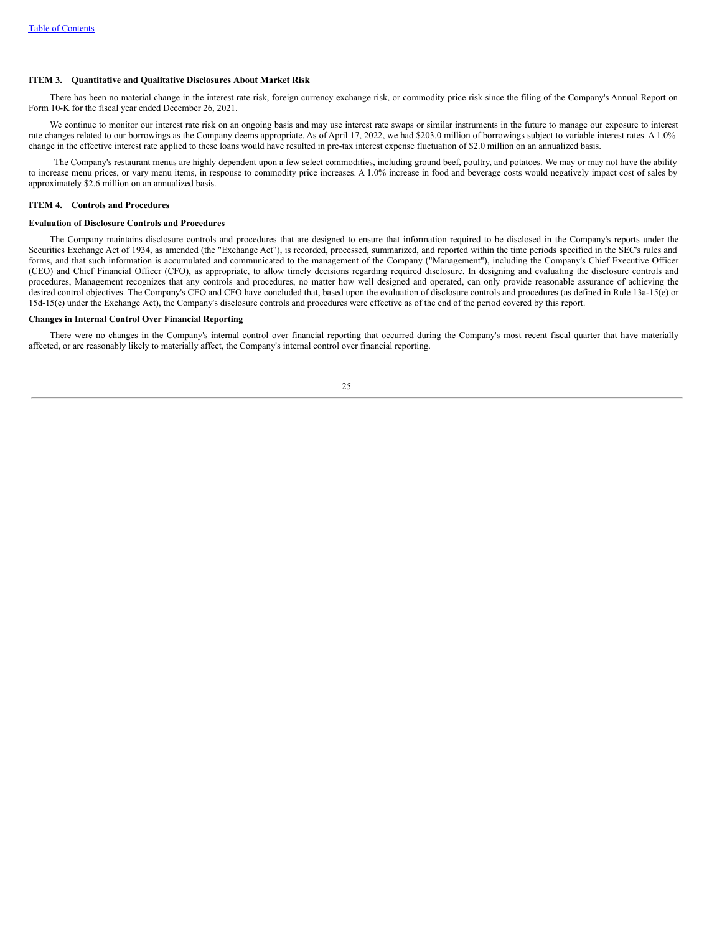## **ITEM 3. Quantitative and Qualitative Disclosures About Market Risk**

There has been no material change in the interest rate risk, foreign currency exchange risk, or commodity price risk since the filing of the Company's Annual Report on Form 10-K for the fiscal year ended December 26, 2021.

We continue to monitor our interest rate risk on an ongoing basis and may use interest rate swaps or similar instruments in the future to manage our exposure to interest rate changes related to our borrowings as the Company deems appropriate. As of April 17, 2022, we had \$203.0 million of borrowings subject to variable interest rates. A 1.0% change in the effective interest rate applied to these loans would have resulted in pre-tax interest expense fluctuation of \$2.0 million on an annualized basis.

The Company's restaurant menus are highly dependent upon a few select commodities, including ground beef, poultry, and potatoes. We may or may not have the ability to increase menu prices, or vary menu items, in response to commodity price increases. A 1.0% increase in food and beverage costs would negatively impact cost of sales by approximately \$2.6 million on an annualized basis.

# <span id="page-26-0"></span>**ITEM 4. Controls and Procedures**

## **Evaluation of Disclosure Controls and Procedures**

The Company maintains disclosure controls and procedures that are designed to ensure that information required to be disclosed in the Company's reports under the Securities Exchange Act of 1934, as amended (the "Exchange Act"), is recorded, processed, summarized, and reported within the time periods specified in the SEC's rules and forms, and that such information is accumulated and communicated to the management of the Company ("Management"), including the Company's Chief Executive Officer (CEO) and Chief Financial Officer (CFO), as appropriate, to allow timely decisions regarding required disclosure. In designing and evaluating the disclosure controls and procedures, Management recognizes that any controls and procedures, no matter how well designed and operated, can only provide reasonable assurance of achieving the desired control objectives. The Company's CEO and CFO have concluded that, based upon the evaluation of disclosure controls and procedures (as defined in Rule 13a-15(e) or 15d-15(e) under the Exchange Act), the Company's disclosure controls and procedures were effective as of the end of the period covered by this report.

## **Changes in Internal Control Over Financial Reporting**

<span id="page-26-1"></span>There were no changes in the Company's internal control over financial reporting that occurred during the Company's most recent fiscal quarter that have materially affected, or are reasonably likely to materially affect, the Company's internal control over financial reporting.

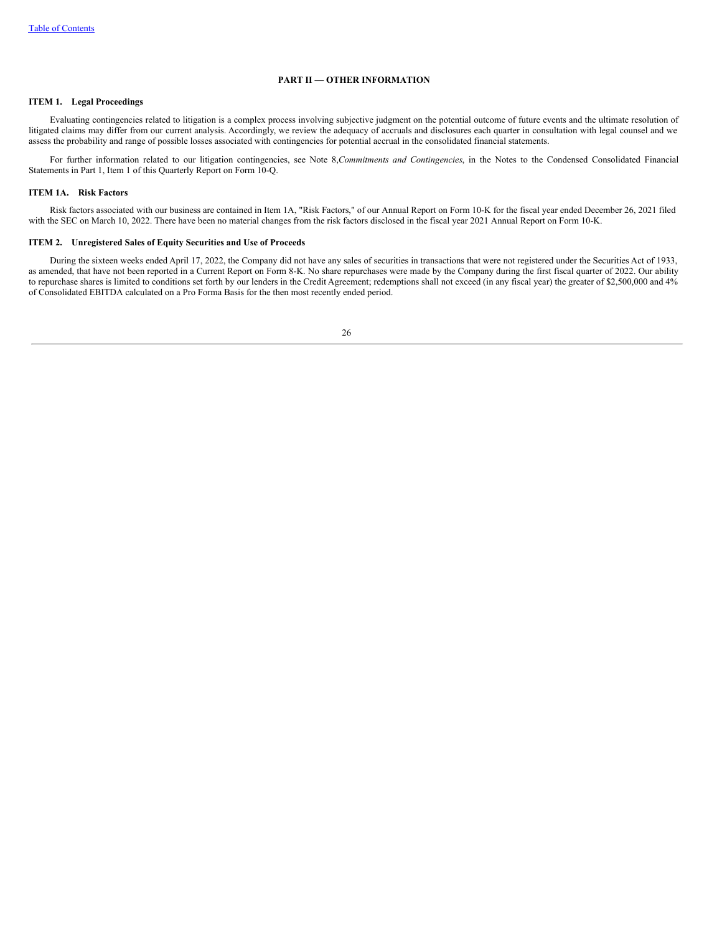## **PART II — OTHER INFORMATION**

# <span id="page-27-0"></span>**ITEM 1. Legal Proceedings**

Evaluating contingencies related to litigation is a complex process involving subjective judgment on the potential outcome of future events and the ultimate resolution of litigated claims may differ from our current analysis. Accordingly, we review the adequacy of accruals and disclosures each quarter in consultation with legal counsel and we assess the probability and range of possible losses associated with contingencies for potential accrual in the consolidated financial statements.

For further information related to our litigation contingencies, see Note 8,*Commitments and Contingencies*, in the Notes to the Condensed Consolidated Financial Statements in Part 1, Item 1 of this Quarterly Report on Form 10-Q.

# <span id="page-27-1"></span>**ITEM 1A. Risk Factors**

Risk factors associated with our business are contained in Item 1A, "Risk Factors," of our Annual Report on Form 10-K for the fiscal year ended December 26, 2021 filed with the SEC on March 10, 2022. There have been no material changes from the risk factors disclosed in the fiscal year 2021 Annual Report on Form 10-K.

# <span id="page-27-2"></span>**ITEM 2. Unregistered Sales of Equity Securities and Use of Proceeds**

<span id="page-27-3"></span>During the sixteen weeks ended April 17, 2022, the Company did not have any sales of securities in transactions that were not registered under the Securities Act of 1933, as amended, that have not been reported in a Current Report on Form 8-K. No share repurchases were made by the Company during the first fiscal quarter of 2022. Our ability to repurchase shares is limited to conditions set forth by our lenders in the Credit Agreement; redemptions shall not exceed (in any fiscal year) the greater of \$2,500,000 and 4% of Consolidated EBITDA calculated on a Pro Forma Basis for the then most recently ended period.

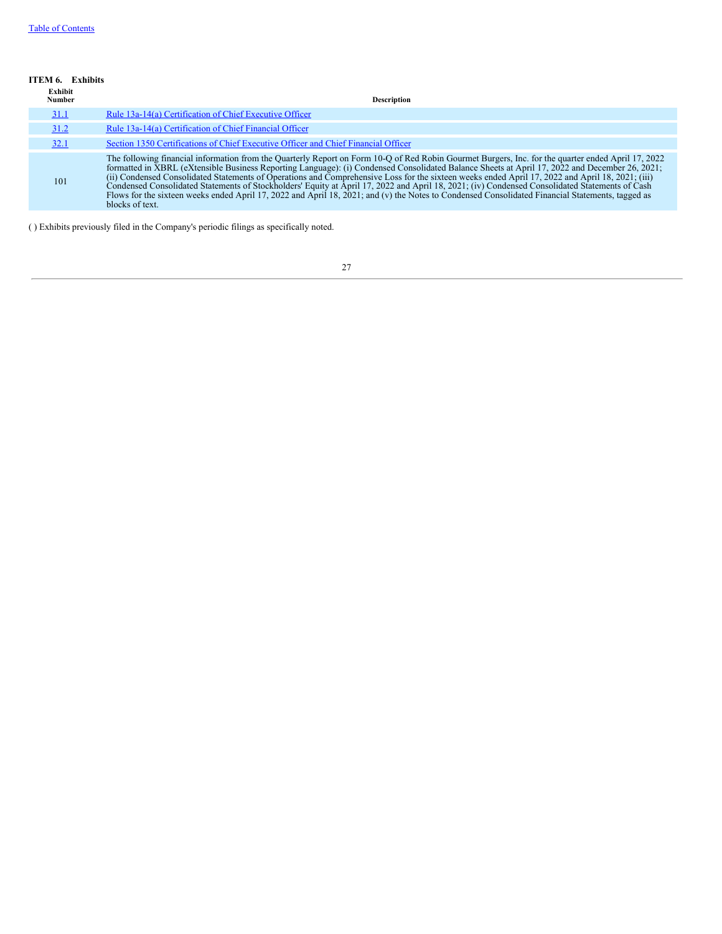## **ITEM 6. Exhibits**

| Exhibit<br>Number | <b>Description</b>                                                                                                                                                                                                                                                                                                                                                                                                                                                                                                                                                                                                                                                                                          |
|-------------------|-------------------------------------------------------------------------------------------------------------------------------------------------------------------------------------------------------------------------------------------------------------------------------------------------------------------------------------------------------------------------------------------------------------------------------------------------------------------------------------------------------------------------------------------------------------------------------------------------------------------------------------------------------------------------------------------------------------|
| 31.1              | Rule 13a-14(a) Certification of Chief Executive Officer                                                                                                                                                                                                                                                                                                                                                                                                                                                                                                                                                                                                                                                     |
| 31.2              | Rule 13a-14(a) Certification of Chief Financial Officer                                                                                                                                                                                                                                                                                                                                                                                                                                                                                                                                                                                                                                                     |
| <u>32.1</u>       | Section 1350 Certifications of Chief Executive Officer and Chief Financial Officer                                                                                                                                                                                                                                                                                                                                                                                                                                                                                                                                                                                                                          |
| 101               | The following financial information from the Quarterly Report on Form 10-Q of Red Robin Gourmet Burgers, Inc. for the quarter ended April 17, 2022 formatted in XBRL (eXtensible Business Reporting Language): (i) Condensed C<br>(ii) Condensed Consolidated Statements of Operations and Comprehensive Loss for the sixteen weeks ended April 17, 2022 and April 18, 2021; (iii)<br>Condensed Consolidated Statements of Stockholders' Equity at April 17, 2022 and April 18, 2021; (iv) Condensed Consolidated Statements of Cash<br>Flows for the sixteen weeks ended April 17, 2022 and April 18, 2021; and (v) the Notes to Condensed Consolidated Financial Statements, tagged as<br>blocks of text. |

<span id="page-28-0"></span>( ) Exhibits previously filed in the Company's periodic filings as specifically noted.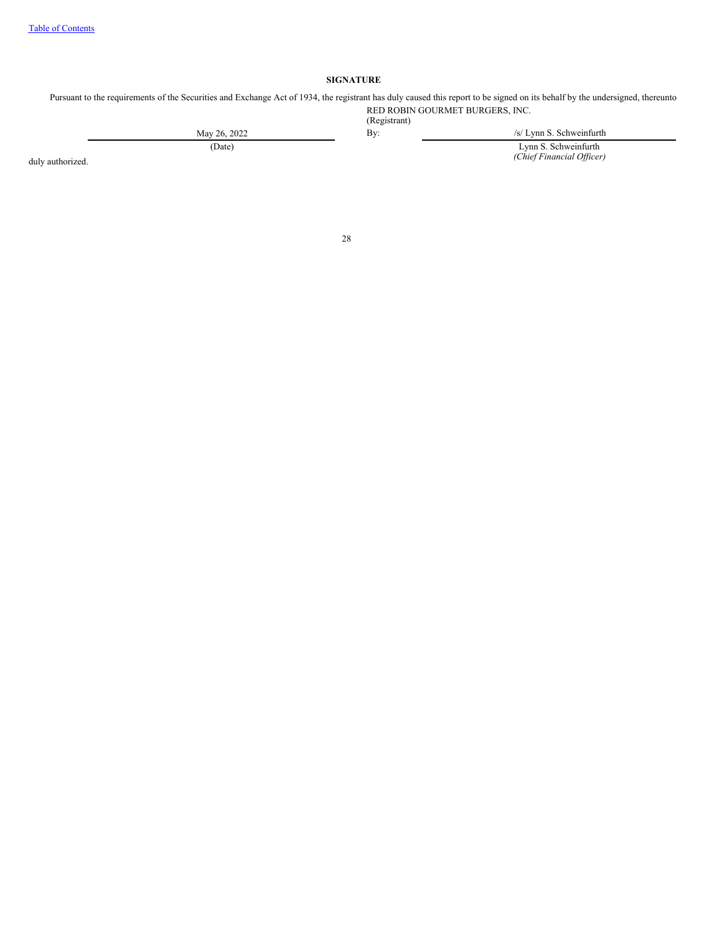# **SIGNATURE**

Pursuant to the requirements of the Securities and Exchange Act of 1934, the registrant has duly caused this report to be signed on its behalf by the undersigned, thereunto RED ROBIN GOURMET BURGERS, INC.

(Registrant)

May 26, 2022 By: By: /s/ Lynn S. Schweinfurth (Date) Lynn S. Schweinfurth *(Chief Financial Of icer)*

duly authorized.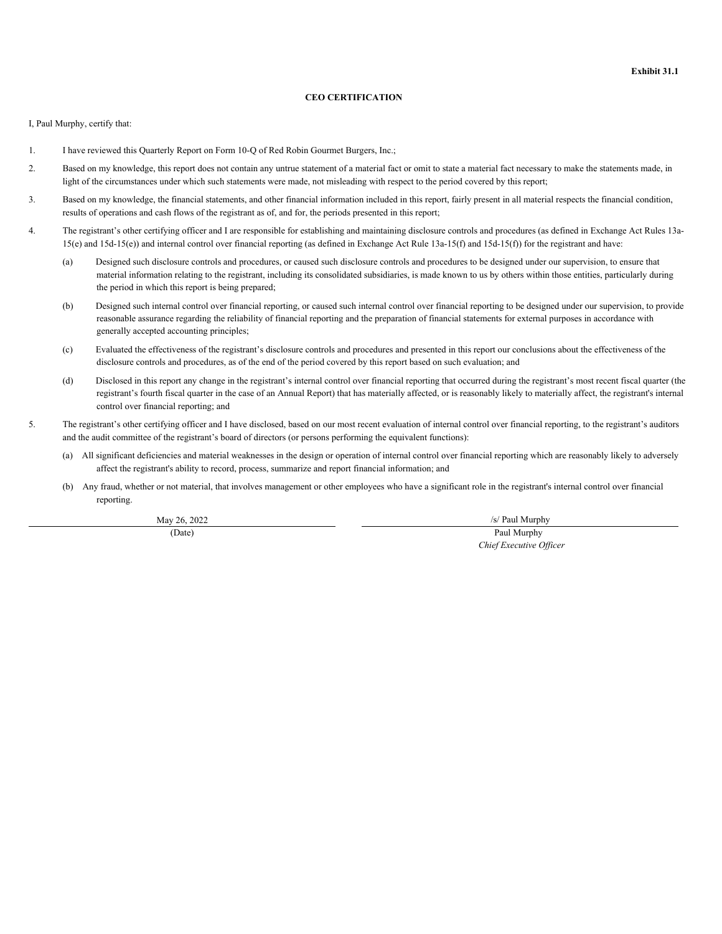# **CEO CERTIFICATION**

<span id="page-30-0"></span>I, Paul Murphy, certify that:

- 1. I have reviewed this Quarterly Report on Form 10-Q of Red Robin Gourmet Burgers, Inc.;
- 2. Based on my knowledge, this report does not contain any untrue statement of a material fact or omit to state a material fact necessary to make the statements made, in light of the circumstances under which such statements were made, not misleading with respect to the period covered by this report;
- 3. Based on my knowledge, the financial statements, and other financial information included in this report, fairly present in all material respects the financial condition, results of operations and cash flows of the registrant as of, and for, the periods presented in this report;
- 4. The registrant's other certifying officer and I are responsible for establishing and maintaining disclosure controls and procedures (as defined in Exchange Act Rules 13a- $15(e)$  and  $15d-15(e)$  and internal control over financial reporting (as defined in Exchange Act Rule  $13a-15(f)$  and  $15d-15(f)$ ) for the registrant and have:
	- (a) Designed such disclosure controls and procedures, or caused such disclosure controls and procedures to be designed under our supervision, to ensure that material information relating to the registrant, including its consolidated subsidiaries, is made known to us by others within those entities, particularly during the period in which this report is being prepared;
	- (b) Designed such internal control over financial reporting, or caused such internal control over financial reporting to be designed under our supervision, to provide reasonable assurance regarding the reliability of financial reporting and the preparation of financial statements for external purposes in accordance with generally accepted accounting principles;
	- (c) Evaluated the effectiveness of the registrant's disclosure controls and procedures and presented in this report our conclusions about the effectiveness of the disclosure controls and procedures, as of the end of the period covered by this report based on such evaluation; and
	- (d) Disclosed in this report any change in the registrant's internal control over financial reporting that occurred during the registrant's most recent fiscal quarter (the registrant's fourth fiscal quarter in the case of an Annual Report) that has materially affected, or is reasonably likely to materially affect, the registrant's internal control over financial reporting; and
- 5. The registrant's other certifying officer and I have disclosed, based on our most recent evaluation of internal control over financial reporting, to the registrant's auditors and the audit committee of the registrant's board of directors (or persons performing the equivalent functions):
	- (a) All significant deficiencies and material weaknesses in the design or operation of internal control over financial reporting which are reasonably likely to adversely affect the registrant's ability to record, process, summarize and report financial information; and
	- (b) Any fraud, whether or not material, that involves management or other employees who have a significant role in the registrant's internal control over financial reporting.

May 26, 2022 /s/ Paul Murphy

(Date) Paul Murphy *Chief Executive Of icer*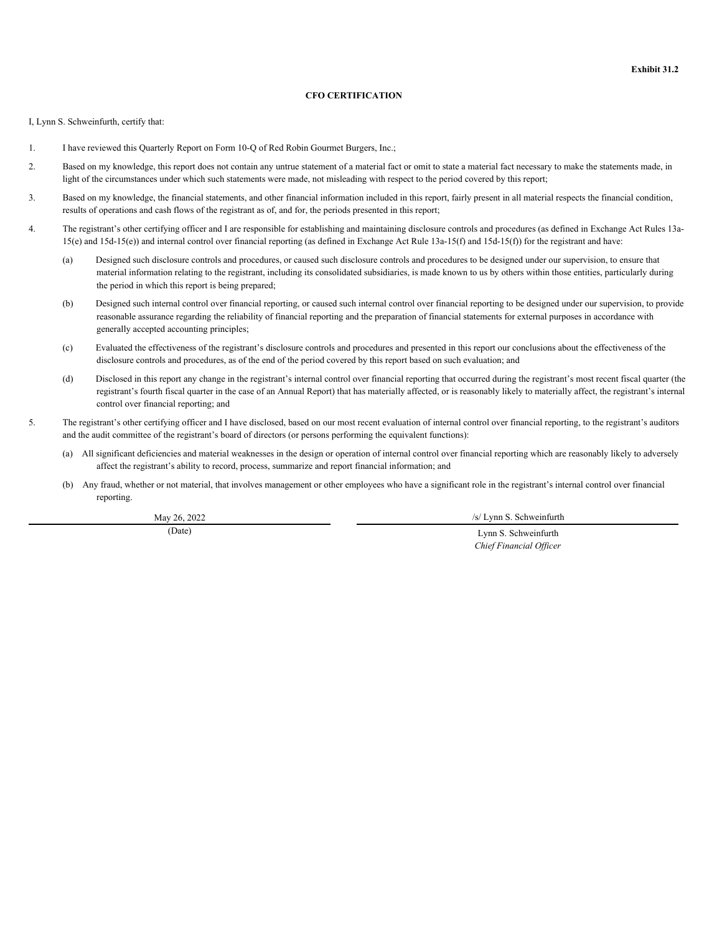# **CFO CERTIFICATION**

<span id="page-31-0"></span>I, Lynn S. Schweinfurth, certify that:

- 1. I have reviewed this Quarterly Report on Form 10-Q of Red Robin Gourmet Burgers, Inc.;
- 2. Based on my knowledge, this report does not contain any untrue statement of a material fact or omit to state a material fact necessary to make the statements made, in light of the circumstances under which such statements were made, not misleading with respect to the period covered by this report;
- 3. Based on my knowledge, the financial statements, and other financial information included in this report, fairly present in all material respects the financial condition, results of operations and cash flows of the registrant as of, and for, the periods presented in this report;
- 4. The registrant's other certifying officer and I are responsible for establishing and maintaining disclosure controls and procedures (as defined in Exchange Act Rules 13a- $15(e)$  and  $15d-15(e)$  and internal control over financial reporting (as defined in Exchange Act Rule  $13a-15(f)$  and  $15d-15(f)$ ) for the registrant and have:
	- (a) Designed such disclosure controls and procedures, or caused such disclosure controls and procedures to be designed under our supervision, to ensure that material information relating to the registrant, including its consolidated subsidiaries, is made known to us by others within those entities, particularly during the period in which this report is being prepared;
	- (b) Designed such internal control over financial reporting, or caused such internal control over financial reporting to be designed under our supervision, to provide reasonable assurance regarding the reliability of financial reporting and the preparation of financial statements for external purposes in accordance with generally accepted accounting principles;
	- (c) Evaluated the effectiveness of the registrant's disclosure controls and procedures and presented in this report our conclusions about the effectiveness of the disclosure controls and procedures, as of the end of the period covered by this report based on such evaluation; and
	- (d) Disclosed in this report any change in the registrant's internal control over financial reporting that occurred during the registrant's most recent fiscal quarter (the registrant's fourth fiscal quarter in the case of an Annual Report) that has materially affected, or is reasonably likely to materially affect, the registrant's internal control over financial reporting; and
- 5. The registrant's other certifying officer and I have disclosed, based on our most recent evaluation of internal control over financial reporting, to the registrant's auditors and the audit committee of the registrant's board of directors (or persons performing the equivalent functions):
	- (a) All significant deficiencies and material weaknesses in the design or operation of internal control over financial reporting which are reasonably likely to adversely affect the registrant's ability to record, process, summarize and report financial information; and
	- (b) Any fraud, whether or not material, that involves management or other employees who have a significant role in the registrant's internal control over financial reporting.

May 26, 2022 /s/ Lynn S. Schweinfurth

(Date) Lynn S. Schweinfurth *Chief Financial Of icer*